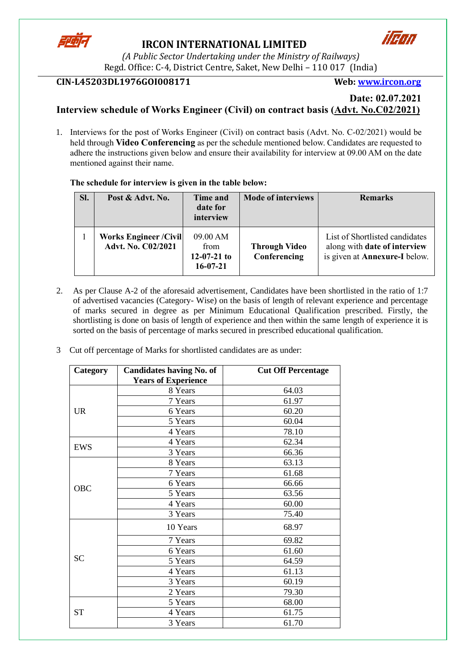

# **IRCON INTERNATIONAL LIMITED**



*(A Public Sector Undertaking under the Ministry of Railways)* Regd. Office: C-4, District Centre, Saket, New Delhi – 110 017 (India)

### **CIN-L45203DL1976GOI008171 Web: [www.ircon.org](http://www.ircon.org/)**

#### **Date: 02.07.2021 Interview schedule of Works Engineer (Civil) on contract basis (Advt. No.C02/2021)**

1. Interviews for the post of Works Engineer (Civil) on contract basis (Advt. No. C-02/2021) would be held through **Video Conferencing** as per the schedule mentioned below. Candidates are requested to adhere the instructions given below and ensure their availability for interview at 09.00 AM on the date mentioned against their name.

#### **The schedule for interview is given in the table below:**

| SI. | Post & Advt. No.                                    | Time and<br>date for<br>interview                   | <b>Mode of interviews</b>            | <b>Remarks</b>                                                                                         |
|-----|-----------------------------------------------------|-----------------------------------------------------|--------------------------------------|--------------------------------------------------------------------------------------------------------|
|     | <b>Works Engineer / Civil</b><br>Advt. No. C02/2021 | 09.00 AM<br>from<br>$12-07-21$ to<br>$16 - 07 - 21$ | <b>Through Video</b><br>Conferencing | List of Shortlisted candidates<br>along with date of interview<br>is given at <b>Annexure-I</b> below. |

- 2. As per Clause A-2 of the aforesaid advertisement, Candidates have been shortlisted in the ratio of 1:7 of advertised vacancies (Category- Wise) on the basis of length of relevant experience and percentage of marks secured in degree as per Minimum Educational Qualification prescribed. Firstly, the shortlisting is done on basis of length of experience and then within the same length of experience it is sorted on the basis of percentage of marks secured in prescribed educational qualification.
- 3 Cut off percentage of Marks for shortlisted candidates are as under:

| Category  | <b>Candidates having No. of</b> | <b>Cut Off Percentage</b> |
|-----------|---------------------------------|---------------------------|
|           | <b>Years of Experience</b>      |                           |
|           | 8 Years                         | 64.03                     |
|           | 7 Years                         | 61.97                     |
| <b>UR</b> | 6 Years                         | 60.20                     |
|           | 5 Years                         | 60.04                     |
|           | 4 Years                         | 78.10                     |
| EWS       | 4 Years                         | 62.34                     |
|           | 3 Years                         | 66.36                     |
|           | 8 Years                         | 63.13                     |
|           | 7 Years                         | 61.68                     |
| OBC       | 6 Years                         | 66.66                     |
|           | 5 Years                         | 63.56                     |
|           | 4 Years                         | 60.00                     |
|           | 3 Years                         | 75.40                     |
|           | 10 Years                        | 68.97                     |
|           | 7 Years                         | 69.82                     |
|           | 6 Years                         | 61.60                     |
| <b>SC</b> | 5 Years                         | 64.59                     |
|           | 4 Years                         | 61.13                     |
|           | 3 Years                         | 60.19                     |
|           | 2 Years                         | 79.30                     |
|           | 5 Years                         | 68.00                     |
| <b>ST</b> | 4 Years                         | 61.75                     |
|           | 3 Years                         | 61.70                     |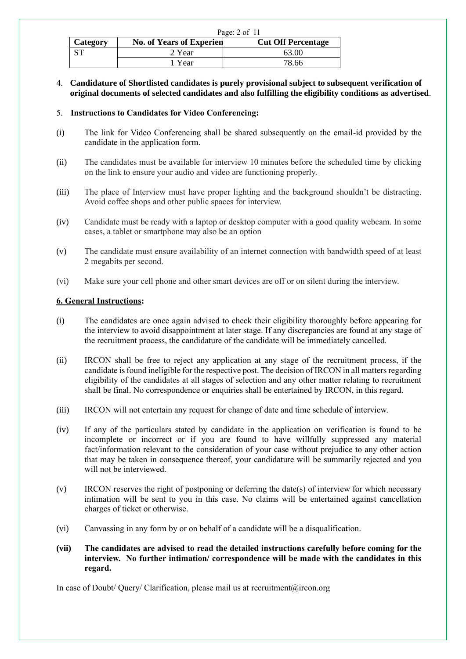|          | Page: $2$ of $11$               |                           |  |  |  |
|----------|---------------------------------|---------------------------|--|--|--|
| Category | <b>No. of Years of Experien</b> | <b>Cut Off Percentage</b> |  |  |  |
|          | 2 Year                          | 63.00                     |  |  |  |
|          | Year                            | 78.66                     |  |  |  |

4. **Candidature of Shortlisted candidates is purely provisional subject to subsequent verification of original documents of selected candidates and also fulfilling the eligibility conditions as advertised**.

#### 5. **Instructions to Candidates for Video Conferencing:**

- (i) The link for Video Conferencing shall be shared subsequently on the email-id provided by the candidate in the application form.
- (ii) The candidates must be available for interview 10 minutes before the scheduled time by clicking on the link to ensure your audio and video are functioning properly.
- (iii) The place of Interview must have proper lighting and the background shouldn't be distracting. Avoid coffee shops and other public spaces for interview.
- (iv) Candidate must be ready with a laptop or desktop computer with a good quality webcam. In some cases, a tablet or smartphone may also be an option
- (v) The candidate must ensure availability of an internet connection with bandwidth speed of at least 2 megabits per second.
- (vi) Make sure your cell phone and other smart devices are off or on silent during the interview.

#### **6. General Instructions:**

- (i) The candidates are once again advised to check their eligibility thoroughly before appearing for the interview to avoid disappointment at later stage. If any discrepancies are found at any stage of the recruitment process, the candidature of the candidate will be immediately cancelled.
- (ii) IRCON shall be free to reject any application at any stage of the recruitment process, if the candidate is found ineligible for the respective post. The decision of IRCON in all matters regarding eligibility of the candidates at all stages of selection and any other matter relating to recruitment shall be final. No correspondence or enquiries shall be entertained by IRCON, in this regard.
- (iii) IRCON will not entertain any request for change of date and time schedule of interview.
- (iv) If any of the particulars stated by candidate in the application on verification is found to be incomplete or incorrect or if you are found to have willfully suppressed any material fact/information relevant to the consideration of your case without prejudice to any other action that may be taken in consequence thereof, your candidature will be summarily rejected and you will not be interviewed.
- (v) IRCON reserves the right of postponing or deferring the date(s) of interview for which necessary intimation will be sent to you in this case. No claims will be entertained against cancellation charges of ticket or otherwise.
- (vi) Canvassing in any form by or on behalf of a candidate will be a disqualification.
- **(vii) The candidates are advised to read the detailed instructions carefully before coming for the interview. No further intimation/ correspondence will be made with the candidates in this regard.**

In case of Doubt/ Query/ Clarification, please mail us at recruitment@ircon.org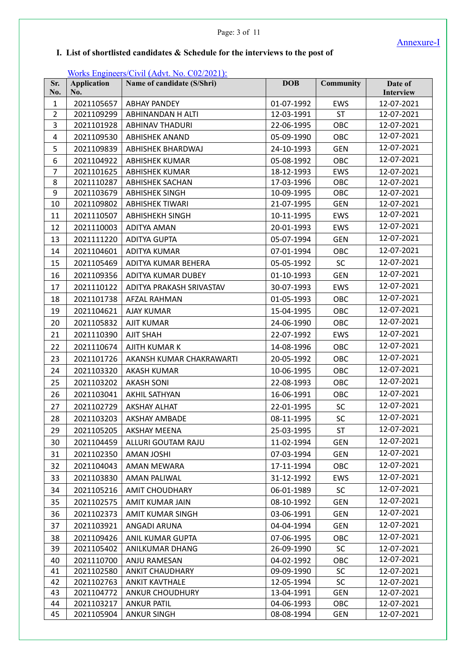Page: 3 of 11

Annexure-I

## **I. List of shortlisted candidates & Schedule for the interviews to the post of**

#### Works Engineers/Civil (Advt. No. C02/2021):

| Sr.<br>No.     | <b>Application</b><br>No. | Name of candidate (S/Shri) | <b>DOB</b> | <b>Community</b> | Date of<br>Interview |
|----------------|---------------------------|----------------------------|------------|------------------|----------------------|
| $\mathbf{1}$   | 2021105657                | <b>ABHAY PANDEY</b>        | 01-07-1992 | EWS              | 12-07-2021           |
| $\overline{2}$ | 2021109299                | ABHINANDAN H ALTI          | 12-03-1991 | <b>ST</b>        | 12-07-2021           |
| 3              | 2021101928                | <b>ABHINAV THADURI</b>     | 22-06-1995 | OBC              | 12-07-2021           |
| $\pmb{4}$      | 2021109530                | <b>ABHISHEK ANAND</b>      | 05-09-1990 | OBC              | 12-07-2021           |
| 5              | 2021109839                | ABHISHEK BHARDWAJ          | 24-10-1993 | <b>GEN</b>       | 12-07-2021           |
| 6              | 2021104922                | <b>ABHISHEK KUMAR</b>      | 05-08-1992 | OBC              | 12-07-2021           |
| $\overline{7}$ | 2021101625                | <b>ABHISHEK KUMAR</b>      | 18-12-1993 | EWS              | 12-07-2021           |
| 8              | 2021110287                | <b>ABHISHEK SACHAN</b>     | 17-03-1996 | OBC              | 12-07-2021           |
| 9              | 2021103679                | <b>ABHISHEK SINGH</b>      | 10-09-1995 | OBC              | 12-07-2021           |
| 10             | 2021109802                | <b>ABHISHEK TIWARI</b>     | 21-07-1995 | <b>GEN</b>       | 12-07-2021           |
| 11             | 2021110507                | <b>ABHISHEKH SINGH</b>     | 10-11-1995 | EWS              | 12-07-2021           |
| 12             | 2021110003                | <b>ADITYA AMAN</b>         | 20-01-1993 | EWS              | 12-07-2021           |
| 13             | 2021111220                | <b>ADITYA GUPTA</b>        | 05-07-1994 | <b>GEN</b>       | 12-07-2021           |
| 14             | 2021104601                | <b>ADITYA KUMAR</b>        | 07-01-1994 | OBC              | 12-07-2021           |
| 15             | 2021105469                | ADITYA KUMAR BEHERA        | 05-05-1992 | <b>SC</b>        | 12-07-2021           |
| 16             | 2021109356                | ADITYA KUMAR DUBEY         | 01-10-1993 | <b>GEN</b>       | 12-07-2021           |
| 17             | 2021110122                | ADITYA PRAKASH SRIVASTAV   | 30-07-1993 | EWS              | 12-07-2021           |
| 18             | 2021101738                | <b>AFZAL RAHMAN</b>        | 01-05-1993 | OBC              | 12-07-2021           |
| 19             | 2021104621                | <b>AJAY KUMAR</b>          | 15-04-1995 | OBC              | 12-07-2021           |
| 20             | 2021105832                | <b>AJIT KUMAR</b>          | 24-06-1990 | OBC              | 12-07-2021           |
| 21             | 2021110390                | <b>AJIT SHAH</b>           | 22-07-1992 | EWS              | 12-07-2021           |
| 22             | 2021110674                | AJITH KUMAR K              | 14-08-1996 | OBC              | 12-07-2021           |
| 23             | 2021101726                | AKANSH KUMAR CHAKRAWARTI   | 20-05-1992 | OBC              | 12-07-2021           |
| 24             | 2021103320                | <b>AKASH KUMAR</b>         | 10-06-1995 | OBC              | 12-07-2021           |
| 25             | 2021103202                | <b>AKASH SONI</b>          | 22-08-1993 | OBC              | 12-07-2021           |
| 26             | 2021103041                | AKHIL SATHYAN              | 16-06-1991 | OBC              | 12-07-2021           |
| 27             | 2021102729                | <b>AKSHAY ALHAT</b>        | 22-01-1995 | SC               | 12-07-2021           |
| 28             | 2021103203                | <b>AKSHAY AMBADE</b>       | 08-11-1995 | SC               | 12-07-2021           |
| 29             | 2021105205                | <b>AKSHAY MEENA</b>        | 25-03-1995 | <b>ST</b>        | 12-07-2021           |
| 30             | 2021104459                | ALLURI GOUTAM RAJU         | 11-02-1994 | <b>GEN</b>       | 12-07-2021           |
| 31             | 2021102350                | AMAN JOSHI                 | 07-03-1994 | <b>GEN</b>       | 12-07-2021           |
| 32             | 2021104043                | <b>AMAN MEWARA</b>         | 17-11-1994 | OBC              | 12-07-2021           |
| 33             | 2021103830                | AMAN PALIWAL               | 31-12-1992 | <b>EWS</b>       | 12-07-2021           |
| 34             | 2021105216                | <b>AMIT CHOUDHARY</b>      | 06-01-1989 | <b>SC</b>        | 12-07-2021           |
| 35             | 2021102575                | AMIT KUMAR JAIN            | 08-10-1992 | <b>GEN</b>       | 12-07-2021           |
| 36             | 2021102373                | AMIT KUMAR SINGH           | 03-06-1991 | <b>GEN</b>       | 12-07-2021           |
| 37             | 2021103921                | ANGADI ARUNA               | 04-04-1994 | <b>GEN</b>       | 12-07-2021           |
| 38             | 2021109426                | ANIL KUMAR GUPTA           | 07-06-1995 | OBC              | 12-07-2021           |
| 39             | 2021105402                | ANILKUMAR DHANG            | 26-09-1990 | <b>SC</b>        | 12-07-2021           |
| 40             | 2021110700                | ANJU RAMESAN               | 04-02-1992 | OBC              | 12-07-2021           |
| 41             | 2021102580                | <b>ANKIT CHAUDHARY</b>     | 09-09-1990 | <b>SC</b>        | 12-07-2021           |
| 42             | 2021102763                | <b>ANKIT KAVTHALE</b>      | 12-05-1994 | <b>SC</b>        | 12-07-2021           |
| 43             | 2021104772                | <b>ANKUR CHOUDHURY</b>     | 13-04-1991 | <b>GEN</b>       | 12-07-2021           |
| 44             | 2021103217                | <b>ANKUR PATIL</b>         | 04-06-1993 | OBC              | 12-07-2021           |
| 45             | 2021105904                | <b>ANKUR SINGH</b>         | 08-08-1994 | GEN              | 12-07-2021           |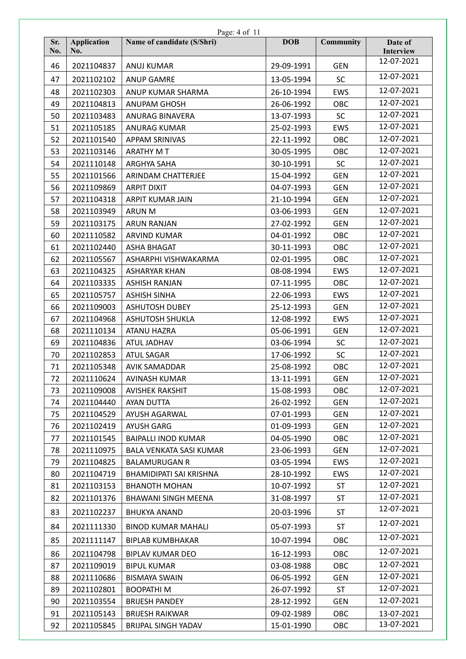|     |                    | Page: 4 of 11                  |            |                  |                         |
|-----|--------------------|--------------------------------|------------|------------------|-------------------------|
| Sr. | <b>Application</b> | Name of candidate (S/Shri)     | <b>DOB</b> | <b>Community</b> | Date of                 |
| No. | No.                |                                |            |                  | Interview<br>12-07-2021 |
| 46  | 2021104837         | <b>ANUJ KUMAR</b>              | 29-09-1991 | <b>GEN</b>       |                         |
| 47  | 2021102102         | <b>ANUP GAMRE</b>              | 13-05-1994 | <b>SC</b>        | 12-07-2021              |
| 48  | 2021102303         | ANUP KUMAR SHARMA              | 26-10-1994 | <b>EWS</b>       | 12-07-2021              |
| 49  | 2021104813         | <b>ANUPAM GHOSH</b>            | 26-06-1992 | OBC              | 12-07-2021              |
| 50  | 2021103483         | ANURAG BINAVERA                | 13-07-1993 | <b>SC</b>        | 12-07-2021              |
| 51  | 2021105185         | <b>ANURAG KUMAR</b>            | 25-02-1993 | <b>EWS</b>       | 12-07-2021              |
| 52  | 2021101540         | <b>APPAM SRINIVAS</b>          | 22-11-1992 | OBC              | 12-07-2021              |
| 53  | 2021103146         | <b>ARATHY MT</b>               | 30-05-1995 | OBC              | 12-07-2021              |
| 54  | 2021110148         | ARGHYA SAHA                    | 30-10-1991 | <b>SC</b>        | 12-07-2021              |
| 55  | 2021101566         | ARINDAM CHATTERJEE             | 15-04-1992 | <b>GEN</b>       | 12-07-2021              |
| 56  | 2021109869         | <b>ARPIT DIXIT</b>             | 04-07-1993 | <b>GEN</b>       | 12-07-2021              |
| 57  | 2021104318         | ARPIT KUMAR JAIN               | 21-10-1994 | <b>GEN</b>       | 12-07-2021              |
| 58  | 2021103949         | <b>ARUN M</b>                  | 03-06-1993 | <b>GEN</b>       | 12-07-2021              |
| 59  | 2021103175         | <b>ARUN RANJAN</b>             | 27-02-1992 | <b>GEN</b>       | 12-07-2021              |
| 60  | 2021110582         | <b>ARVIND KUMAR</b>            | 04-01-1992 | OBC              | 12-07-2021              |
| 61  | 2021102440         | <b>ASHA BHAGAT</b>             | 30-11-1993 | OBC              | 12-07-2021              |
| 62  | 2021105567         | ASHARPHI VISHWAKARMA           | 02-01-1995 | OBC              | 12-07-2021              |
| 63  | 2021104325         | <b>ASHARYAR KHAN</b>           | 08-08-1994 | <b>EWS</b>       | 12-07-2021              |
| 64  | 2021103335         | <b>ASHISH RANJAN</b>           | 07-11-1995 | OBC              | 12-07-2021              |
| 65  | 2021105757         | <b>ASHISH SINHA</b>            | 22-06-1993 | <b>EWS</b>       | 12-07-2021              |
| 66  | 2021109003         | <b>ASHUTOSH DUBEY</b>          | 25-12-1993 | <b>GEN</b>       | 12-07-2021              |
| 67  | 2021104968         | <b>ASHUTOSH SHUKLA</b>         | 12-08-1992 | EWS              | 12-07-2021              |
| 68  | 2021110134         | <b>ATANU HAZRA</b>             | 05-06-1991 | <b>GEN</b>       | 12-07-2021              |
| 69  | 2021104836         | ATUL JADHAV                    | 03-06-1994 | <b>SC</b>        | 12-07-2021              |
| 70  | 2021102853         | <b>ATUL SAGAR</b>              | 17-06-1992 | SC               | 12-07-2021              |
| 71  | 2021105348         | <b>AVIK SAMADDAR</b>           | 25-08-1992 | OBC              | 12-07-2021              |
| 72  | 2021110624         | <b>AVINASH KUMAR</b>           | 13-11-1991 | <b>GEN</b>       | 12-07-2021              |
| 73  | 2021109008         | <b>AVISHEK RAKSHIT</b>         | 15-08-1993 | OBC              | 12-07-2021              |
| 74  | 2021104440         | AYAN DUTTA                     | 26-02-1992 | <b>GEN</b>       | 12-07-2021              |
| 75  | 2021104529         | AYUSH AGARWAL                  | 07-01-1993 | <b>GEN</b>       | 12-07-2021              |
| 76  | 2021102419         | <b>AYUSH GARG</b>              | 01-09-1993 | <b>GEN</b>       | 12-07-2021              |
| 77  | 2021101545         | <b>BAIPALLI INOD KUMAR</b>     | 04-05-1990 | OBC              | 12-07-2021              |
| 78  | 2021110975         | <b>BALA VENKATA SASI KUMAR</b> | 23-06-1993 | <b>GEN</b>       | 12-07-2021              |
| 79  | 2021104825         | <b>BALAMURUGAN R</b>           | 03-05-1994 | <b>EWS</b>       | 12-07-2021              |
| 80  | 2021104719         | BHAMIDIPATI SAI KRISHNA        | 28-10-1992 | <b>EWS</b>       | 12-07-2021              |
| 81  | 2021103153         | <b>BHANOTH MOHAN</b>           | 10-07-1992 | <b>ST</b>        | 12-07-2021              |
| 82  | 2021101376         | <b>BHAWANI SINGH MEENA</b>     | 31-08-1997 | <b>ST</b>        | 12-07-2021              |
| 83  | 2021102237         | <b>BHUKYA ANAND</b>            | 20-03-1996 | <b>ST</b>        | 12-07-2021              |
| 84  | 2021111330         | <b>BINOD KUMAR MAHALI</b>      | 05-07-1993 | <b>ST</b>        | 12-07-2021              |
| 85  | 2021111147         | <b>BIPLAB KUMBHAKAR</b>        | 10-07-1994 | OBC              | 12-07-2021              |
| 86  | 2021104798         | <b>BIPLAV KUMAR DEO</b>        | 16-12-1993 | OBC              | 12-07-2021              |
| 87  | 2021109019         | <b>BIPUL KUMAR</b>             | 03-08-1988 | <b>OBC</b>       | 12-07-2021              |
| 88  | 2021110686         | <b>BISMAYA SWAIN</b>           | 06-05-1992 | <b>GEN</b>       | 12-07-2021              |
| 89  | 2021102801         | <b>BOOPATHIM</b>               | 26-07-1992 | ST               | 12-07-2021              |
| 90  | 2021103554         | <b>BRIJESH PANDEY</b>          | 28-12-1992 | <b>GEN</b>       | 12-07-2021              |
| 91  | 2021105143         | <b>BRIJESH RAIKWAR</b>         | 09-02-1989 | <b>OBC</b>       | 13-07-2021              |
| 92  | 2021105845         | BRIJPAL SINGH YADAV            | 15-01-1990 | OBC              | 13-07-2021              |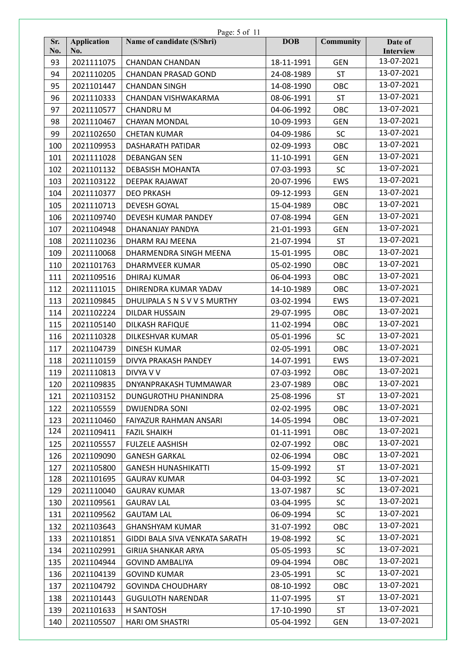|            |                           | Page: 5 of 11                  |            |                  |                      |
|------------|---------------------------|--------------------------------|------------|------------------|----------------------|
| Sr.<br>No. | <b>Application</b><br>No. | Name of candidate (S/Shri)     | <b>DOB</b> | <b>Community</b> | Date of<br>Interview |
| 93         | 2021111075                | <b>CHANDAN CHANDAN</b>         | 18-11-1991 | <b>GEN</b>       | 13-07-2021           |
| 94         | 2021110205                | <b>CHANDAN PRASAD GOND</b>     | 24-08-1989 | <b>ST</b>        | 13-07-2021           |
| 95         | 2021101447                | <b>CHANDAN SINGH</b>           | 14-08-1990 | OBC              | 13-07-2021           |
| 96         | 2021110333                | CHANDAN VISHWAKARMA            | 08-06-1991 | <b>ST</b>        | 13-07-2021           |
| 97         | 2021110577                | <b>CHANDRUM</b>                | 04-06-1992 | OBC              | 13-07-2021           |
| 98         | 2021110467                | <b>CHAYAN MONDAL</b>           | 10-09-1993 | <b>GEN</b>       | 13-07-2021           |
| 99         | 2021102650                | <b>CHETAN KUMAR</b>            | 04-09-1986 | <b>SC</b>        | 13-07-2021           |
| 100        | 2021109953                | DASHARATH PATIDAR              | 02-09-1993 | OBC              | 13-07-2021           |
| 101        | 2021111028                | <b>DEBANGAN SEN</b>            | 11-10-1991 | <b>GEN</b>       | 13-07-2021           |
| 102        | 2021101132                | <b>DEBASISH MOHANTA</b>        | 07-03-1993 | <b>SC</b>        | 13-07-2021           |
| 103        | 2021103122                | DEEPAK RAJAWAT                 | 20-07-1996 | EWS              | 13-07-2021           |
| 104        | 2021110377                | <b>DEO PRKASH</b>              | 09-12-1993 | <b>GEN</b>       | 13-07-2021           |
| 105        | 2021110713                | <b>DEVESH GOYAL</b>            | 15-04-1989 | OBC              | 13-07-2021           |
| 106        | 2021109740                | DEVESH KUMAR PANDEY            | 07-08-1994 | <b>GEN</b>       | 13-07-2021           |
| 107        | 2021104948                | DHANANJAY PANDYA               | 21-01-1993 | <b>GEN</b>       | 13-07-2021           |
| 108        | 2021110236                | DHARM RAJ MEENA                | 21-07-1994 | <b>ST</b>        | 13-07-2021           |
| 109        | 2021110068                | DHARMENDRA SINGH MEENA         | 15-01-1995 | OBC              | 13-07-2021           |
| 110        | 2021101763                | <b>DHARMVEER KUMAR</b>         | 05-02-1990 | OBC              | 13-07-2021           |
| 111        | 2021109516                | DHIRAJ KUMAR                   | 06-04-1993 | OBC              | 13-07-2021           |
| 112        | 2021111015                | DHIRENDRA KUMAR YADAV          | 14-10-1989 | OBC              | 13-07-2021           |
| 113        | 2021109845                | DHULIPALA S N S V V S MURTHY   | 03-02-1994 | EWS              | 13-07-2021           |
| 114        | 2021102224                | DILDAR HUSSAIN                 | 29-07-1995 | OBC              | 13-07-2021           |
| 115        | 2021105140                | DILKASH RAFIQUE                | 11-02-1994 | OBC              | 13-07-2021           |
| 116        | 2021110328                | <b>DILKESHVAR KUMAR</b>        | 05-01-1996 | <b>SC</b>        | 13-07-2021           |
| 117        | 2021104739                | <b>DINESH KUMAR</b>            | 02-05-1991 | OBC              | 13-07-2021           |
| 118        | 2021110159                | DIVYA PRAKASH PANDEY           | 14-07-1991 | EWS              | 13-07-2021           |
| 119        | 2021110813                | DIVYA V V                      | 07-03-1992 | OBC              | 13-07-2021           |
| 120        | 2021109835                | DNYANPRAKASH TUMMAWAR          | 23-07-1989 | OBC              | 13-07-2021           |
| 121        | 2021103152                | <b>DUNGUROTHU PHANINDRA</b>    | 25-08-1996 | <b>ST</b>        | 13-07-2021           |
| 122        | 2021105559                | <b>DWIJENDRA SONI</b>          | 02-02-1995 | OBC              | 13-07-2021           |
| 123        | 2021110460                | FAIYAZUR RAHMAN ANSARI         | 14-05-1994 | OBC              | 13-07-2021           |
| 124        | 2021109411                | <b>FAZIL SHAIKH</b>            | 01-11-1991 | OBC              | 13-07-2021           |
| 125        | 2021105557                | <b>FULZELE AASHISH</b>         | 02-07-1992 | OBC              | 13-07-2021           |
| 126        | 2021109090                | <b>GANESH GARKAL</b>           | 02-06-1994 | OBC              | 13-07-2021           |
| 127        | 2021105800                | <b>GANESH HUNASHIKATTI</b>     | 15-09-1992 | ST               | 13-07-2021           |
| 128        | 2021101695                | <b>GAURAV KUMAR</b>            | 04-03-1992 | <b>SC</b>        | 13-07-2021           |
| 129        | 2021110040                | <b>GAURAV KUMAR</b>            | 13-07-1987 | <b>SC</b>        | 13-07-2021           |
| 130        | 2021109561                | <b>GAURAV LAL</b>              | 03-04-1995 | <b>SC</b>        | 13-07-2021           |
| 131        | 2021109562                | <b>GAUTAM LAL</b>              | 06-09-1994 | <b>SC</b>        | 13-07-2021           |
| 132        | 2021103643                | <b>GHANSHYAM KUMAR</b>         | 31-07-1992 | OBC              | 13-07-2021           |
| 133        | 2021101851                | GIDDI BALA SIVA VENKATA SARATH | 19-08-1992 | <b>SC</b>        | 13-07-2021           |
| 134        | 2021102991                | GIRIJA SHANKAR ARYA            | 05-05-1993 | <b>SC</b>        | 13-07-2021           |
| 135        | 2021104944                | <b>GOVIND AMBALIYA</b>         | 09-04-1994 | OBC              | 13-07-2021           |
| 136        | 2021104139                | <b>GOVIND KUMAR</b>            | 23-05-1991 | <b>SC</b>        | 13-07-2021           |
| 137        | 2021104792                | <b>GOVINDA CHOUDHARY</b>       | 08-10-1992 | OBC              | 13-07-2021           |
| 138        | 2021101443                | <b>GUGULOTH NARENDAR</b>       | 11-07-1995 | <b>ST</b>        | 13-07-2021           |
| 139        | 2021101633                | H SANTOSH                      | 17-10-1990 | ST               | 13-07-2021           |
| 140        | 2021105507                | <b>HARI OM SHASTRI</b>         | 05-04-1992 | <b>GEN</b>       | 13-07-2021           |
|            |                           |                                |            |                  |                      |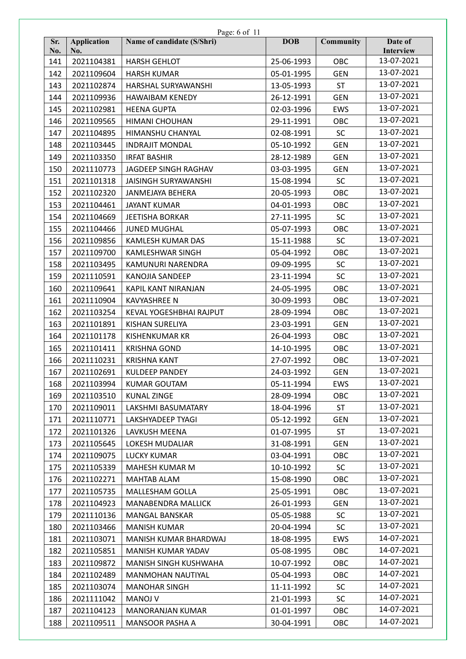|            | Page: 6 of 11             |                             |            |                  |                      |  |  |
|------------|---------------------------|-----------------------------|------------|------------------|----------------------|--|--|
| Sr.<br>No. | <b>Application</b><br>No. | Name of candidate (S/Shri)  | <b>DOB</b> | <b>Community</b> | Date of<br>Interview |  |  |
| 141        | 2021104381                | <b>HARSH GEHLOT</b>         | 25-06-1993 | OBC              | 13-07-2021           |  |  |
| 142        | 2021109604                | <b>HARSH KUMAR</b>          | 05-01-1995 | <b>GEN</b>       | 13-07-2021           |  |  |
| 143        | 2021102874                | HARSHAL SURYAWANSHI         | 13-05-1993 | <b>ST</b>        | 13-07-2021           |  |  |
| 144        | 2021109936                | <b>HAWAIBAM KENEDY</b>      | 26-12-1991 | <b>GEN</b>       | 13-07-2021           |  |  |
| 145        | 2021102981                | <b>HEENA GUPTA</b>          | 02-03-1996 | EWS              | 13-07-2021           |  |  |
| 146        | 2021109565                | HIMANI CHOUHAN              | 29-11-1991 | OBC              | 13-07-2021           |  |  |
| 147        | 2021104895                | HIMANSHU CHANYAL            | 02-08-1991 | <b>SC</b>        | 13-07-2021           |  |  |
| 148        | 2021103445                | <b>INDRAJIT MONDAL</b>      | 05-10-1992 | <b>GEN</b>       | 13-07-2021           |  |  |
| 149        | 2021103350                | <b>IRFAT BASHIR</b>         | 28-12-1989 | <b>GEN</b>       | 13-07-2021           |  |  |
| 150        | 2021110773                | JAGDEEP SINGH RAGHAV        | 03-03-1995 | <b>GEN</b>       | 13-07-2021           |  |  |
| 151        | 2021101318                | <b>JAISINGH SURYAWANSHI</b> | 15-08-1994 | <b>SC</b>        | 13-07-2021           |  |  |
| 152        | 2021102320                | JANMEJAYA BEHERA            | 20-05-1993 | OBC              | 13-07-2021           |  |  |
| 153        | 2021104461                | <b>JAYANT KUMAR</b>         | 04-01-1993 | OBC              | 13-07-2021           |  |  |
| 154        | 2021104669                | <b>JEETISHA BORKAR</b>      | 27-11-1995 | <b>SC</b>        | 13-07-2021           |  |  |
| 155        | 2021104466                | <b>JUNED MUGHAL</b>         | 05-07-1993 | OBC              | 13-07-2021           |  |  |
| 156        | 2021109856                | KAMLESH KUMAR DAS           | 15-11-1988 | <b>SC</b>        | 13-07-2021           |  |  |
| 157        | 2021109700                | <b>KAMLESHWAR SINGH</b>     | 05-04-1992 | OBC              | 13-07-2021           |  |  |
| 158        | 2021103495                | KAMUNURI NARENDRA           | 09-09-1995 | <b>SC</b>        | 13-07-2021           |  |  |
| 159        | 2021110591                | <b>KANOJIA SANDEEP</b>      | 23-11-1994 | SC               | 13-07-2021           |  |  |
| 160        | 2021109641                | KAPIL KANT NIRANJAN         | 24-05-1995 | OBC              | 13-07-2021           |  |  |
| 161        | 2021110904                | <b>KAVYASHREE N</b>         | 30-09-1993 | OBC              | 13-07-2021           |  |  |
| 162        | 2021103254                | KEVAL YOGESHBHAI RAJPUT     | 28-09-1994 | OBC              | 13-07-2021           |  |  |
| 163        | 2021101891                | KISHAN SURELIYA             | 23-03-1991 | <b>GEN</b>       | 13-07-2021           |  |  |
| 164        | 2021101178                | <b>KISHENKUMAR KR</b>       | 26-04-1993 | OBC              | 13-07-2021           |  |  |
| 165        | 2021101411                | <b>KRISHNA GOND</b>         | 14-10-1995 | OBC              | 13-07-2021           |  |  |
| 166        | 2021110231                | <b>KRISHNA KANT</b>         | 27-07-1992 | OBC              | 13-07-2021           |  |  |
| 167        | 2021102691                | <b>KULDEEP PANDEY</b>       | 24-03-1992 | <b>GEN</b>       | 13-07-2021           |  |  |
| 168        | 2021103994                | <b>KUMAR GOUTAM</b>         | 05-11-1994 | EWS              | 13-07-2021           |  |  |
| 169        | 2021103510                | <b>KUNAL ZINGE</b>          | 28-09-1994 | OBC              | 13-07-2021           |  |  |
| 170        | 2021109011                | LAKSHMI BASUMATARY          | 18-04-1996 | <b>ST</b>        | 13-07-2021           |  |  |
| 171        | 2021110771                | LAKSHYADEEP TYAGI           | 05-12-1992 | <b>GEN</b>       | 13-07-2021           |  |  |
| 172        | 2021101326                | LAVKUSH MEENA               | 01-07-1995 | <b>ST</b>        | 13-07-2021           |  |  |
| 173        | 2021105645                | LOKESH MUDALIAR             | 31-08-1991 | <b>GEN</b>       | 13-07-2021           |  |  |
| 174        | 2021109075                | <b>LUCKY KUMAR</b>          | 03-04-1991 | OBC              | 13-07-2021           |  |  |
| 175        | 2021105339                | MAHESH KUMAR M              | 10-10-1992 | <b>SC</b>        | 13-07-2021           |  |  |
| 176        | 2021102271                | <b>MAHTAB ALAM</b>          | 15-08-1990 | OBC              | 13-07-2021           |  |  |
| 177        | 2021105735                | <b>MALLESHAM GOLLA</b>      | 25-05-1991 | OBC              | 13-07-2021           |  |  |
| 178        | 2021104923                | <b>MANABENDRA MALLICK</b>   | 26-01-1993 | <b>GEN</b>       | 13-07-2021           |  |  |
| 179        | 2021110136                | <b>MANGAL BANSKAR</b>       | 05-05-1988 | <b>SC</b>        | 13-07-2021           |  |  |
| 180        | 2021103466                | <b>MANISH KUMAR</b>         | 20-04-1994 | <b>SC</b>        | 13-07-2021           |  |  |
| 181        | 2021103071                | MANISH KUMAR BHARDWAJ       | 18-08-1995 | EWS              | 14-07-2021           |  |  |
| 182        | 2021105851                | MANISH KUMAR YADAV          | 05-08-1995 | OBC              | 14-07-2021           |  |  |
| 183        | 2021109872                | MANISH SINGH KUSHWAHA       | 10-07-1992 | OBC              | 14-07-2021           |  |  |
| 184        | 2021102489                | MANMOHAN NAUTIYAL           | 05-04-1993 | OBC              | 14-07-2021           |  |  |
| 185        | 2021103074                | <b>MANOHAR SINGH</b>        | 11-11-1992 | <b>SC</b>        | 14-07-2021           |  |  |
| 186        | 2021111042                | <b>MANOJ V</b>              | 21-01-1993 | <b>SC</b>        | 14-07-2021           |  |  |
| 187        | 2021104123                | <b>MANORANJAN KUMAR</b>     | 01-01-1997 | OBC              | 14-07-2021           |  |  |
| 188        | 2021109511                | MANSOOR PASHA A             | 30-04-1991 | OBC              | 14-07-2021           |  |  |
|            |                           |                             |            |                  |                      |  |  |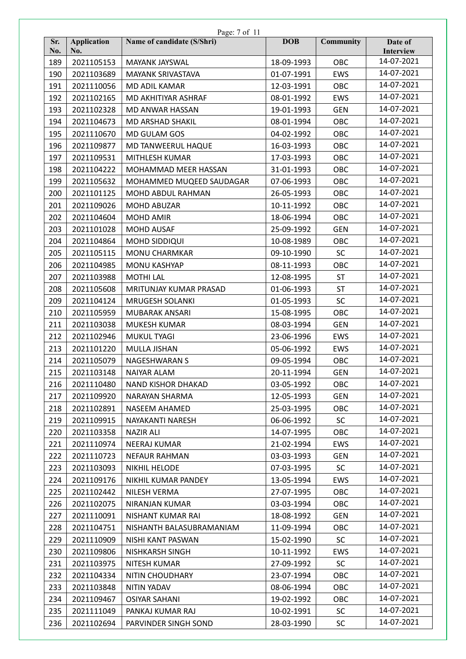|            | Page: 7 of 11             |                            |            |                  |                      |  |  |
|------------|---------------------------|----------------------------|------------|------------------|----------------------|--|--|
| Sr.<br>No. | <b>Application</b><br>No. | Name of candidate (S/Shri) | <b>DOB</b> | <b>Community</b> | Date of<br>Interview |  |  |
| 189        | 2021105153                | MAYANK JAYSWAL             | 18-09-1993 | OBC              | 14-07-2021           |  |  |
| 190        | 2021103689                | <b>MAYANK SRIVASTAVA</b>   | 01-07-1991 | <b>EWS</b>       | 14-07-2021           |  |  |
| 191        | 2021110056                | MD ADIL KAMAR              | 12-03-1991 | OBC              | 14-07-2021           |  |  |
| 192        | 2021102165                | MD AKHITIYAR ASHRAF        | 08-01-1992 | <b>EWS</b>       | 14-07-2021           |  |  |
| 193        | 2021102328                | MD ANWAR HASSAN            | 19-01-1993 | <b>GEN</b>       | 14-07-2021           |  |  |
| 194        | 2021104673                | MD ARSHAD SHAKIL           | 08-01-1994 | OBC              | 14-07-2021           |  |  |
| 195        | 2021110670                | <b>MD GULAM GOS</b>        | 04-02-1992 | OBC              | 14-07-2021           |  |  |
| 196        | 2021109877                | MD TANWEERUL HAQUE         | 16-03-1993 | OBC              | 14-07-2021           |  |  |
| 197        | 2021109531                | MITHLESH KUMAR             | 17-03-1993 | OBC              | 14-07-2021           |  |  |
| 198        | 2021104222                | MOHAMMAD MEER HASSAN       | 31-01-1993 | OBC              | 14-07-2021           |  |  |
| 199        | 2021105632                | MOHAMMED MUQEED SAUDAGAR   | 07-06-1993 | OBC              | 14-07-2021           |  |  |
| 200        | 2021101125                | MOHD ABDUL RAHMAN          | 26-05-1993 | OBC              | 14-07-2021           |  |  |
| 201        | 2021109026                | MOHD ABUZAR                | 10-11-1992 | OBC              | 14-07-2021           |  |  |
| 202        | 2021104604                | <b>MOHD AMIR</b>           | 18-06-1994 | OBC              | 14-07-2021           |  |  |
| 203        | 2021101028                | <b>MOHD AUSAF</b>          | 25-09-1992 | <b>GEN</b>       | 14-07-2021           |  |  |
| 204        | 2021104864                | MOHD SIDDIQUI              | 10-08-1989 | OBC              | 14-07-2021           |  |  |
| 205        | 2021105115                | <b>MONU CHARMKAR</b>       | 09-10-1990 | <b>SC</b>        | 14-07-2021           |  |  |
| 206        | 2021104985                | <b>MONU KASHYAP</b>        | 08-11-1993 | OBC              | 14-07-2021           |  |  |
| 207        | 2021103988                | <b>MOTHI LAL</b>           | 12-08-1995 | <b>ST</b>        | 14-07-2021           |  |  |
| 208        | 2021105608                | MRITUNJAY KUMAR PRASAD     | 01-06-1993 | <b>ST</b>        | 14-07-2021           |  |  |
| 209        | 2021104124                | <b>MRUGESH SOLANKI</b>     | 01-05-1993 | <b>SC</b>        | 14-07-2021           |  |  |
| 210        | 2021105959                | MUBARAK ANSARI             | 15-08-1995 | OBC              | 14-07-2021           |  |  |
| 211        | 2021103038                | <b>MUKESH KUMAR</b>        | 08-03-1994 | <b>GEN</b>       | 14-07-2021           |  |  |
| 212        | 2021102946                | MUKUL TYAGI                | 23-06-1996 | <b>EWS</b>       | 14-07-2021           |  |  |
| 213        | 2021101220                | MULLA JISHAN               | 05-06-1992 | EWS              | 14-07-2021           |  |  |
| 214        | 2021105079                | <b>NAGESHWARAN S</b>       | 09-05-1994 | OBC              | 14-07-2021           |  |  |
| 215        | 2021103148                | <b>NAIYAR ALAM</b>         | 20-11-1994 | <b>GEN</b>       | 14-07-2021           |  |  |
| 216        | 2021110480                | NAND KISHOR DHAKAD         | 03-05-1992 | OBC              | 14-07-2021           |  |  |
| 217        | 2021109920                | NARAYAN SHARMA             | 12-05-1993 | <b>GEN</b>       | 14-07-2021           |  |  |
| 218        | 2021102891                | NASEEM AHAMED              | 25-03-1995 | OBC              | 14-07-2021           |  |  |
| 219        | 2021109915                | NAYAKANTI NARESH           | 06-06-1992 | <b>SC</b>        | 14-07-2021           |  |  |
| 220        | 2021103358                | <b>NAZIR ALI</b>           | 14-07-1995 | OBC              | 14-07-2021           |  |  |
| 221        | 2021110974                | NEERAJ KUMAR               | 21-02-1994 | <b>EWS</b>       | 14-07-2021           |  |  |
| 222        | 2021110723                | <b>NEFAUR RAHMAN</b>       | 03-03-1993 | <b>GEN</b>       | 14-07-2021           |  |  |
| 223        | 2021103093                | NIKHIL HELODE              | 07-03-1995 | <b>SC</b>        | 14-07-2021           |  |  |
| 224        | 2021109176                | NIKHIL KUMAR PANDEY        | 13-05-1994 | EWS              | 14-07-2021           |  |  |
| 225        | 2021102442                | NILESH VERMA               | 27-07-1995 | OBC              | 14-07-2021           |  |  |
| 226        | 2021102075                | NIRANJAN KUMAR             | 03-03-1994 | OBC              | 14-07-2021           |  |  |
| 227        | 2021110091                | NISHANT KUMAR RAI          | 18-08-1992 | <b>GEN</b>       | 14-07-2021           |  |  |
| 228        | 2021104751                | NISHANTH BALASUBRAMANIAM   | 11-09-1994 | OBC              | 14-07-2021           |  |  |
| 229        | 2021110909                | NISHI KANT PASWAN          | 15-02-1990 | <b>SC</b>        | 14-07-2021           |  |  |
| 230        | 2021109806                | NISHKARSH SINGH            | 10-11-1992 | <b>EWS</b>       | 14-07-2021           |  |  |
| 231        | 2021103975                | NITESH KUMAR               | 27-09-1992 | <b>SC</b>        | 14-07-2021           |  |  |
| 232        | 2021104334                | NITIN CHOUDHARY            | 23-07-1994 | OBC              | 14-07-2021           |  |  |
| 233        | 2021103848                | NITIN YADAV                | 08-06-1994 | OBC              | 14-07-2021           |  |  |
| 234        | 2021109467                | <b>OSIYAR SAHANI</b>       | 19-02-1992 | OBC              | 14-07-2021           |  |  |
| 235        | 2021111049                | PANKAJ KUMAR RAJ           | 10-02-1991 | <b>SC</b>        | 14-07-2021           |  |  |
| 236        | 2021102694                | PARVINDER SINGH SOND       | 28-03-1990 | <b>SC</b>        | 14-07-2021           |  |  |
|            |                           |                            |            |                  |                      |  |  |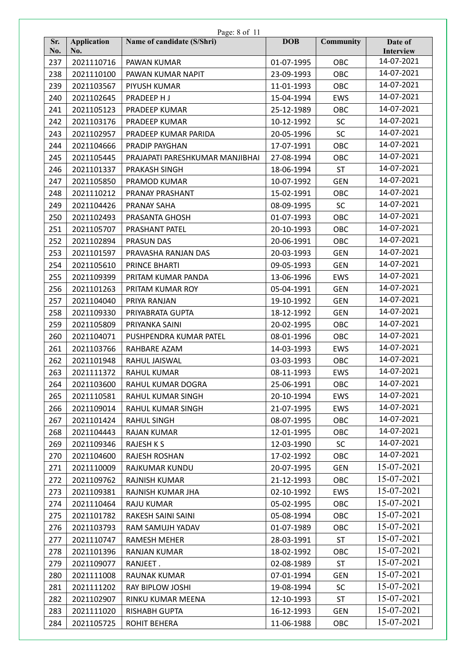| Sr.<br>Name of candidate (S/Shri)<br><b>DOB</b><br><b>Application</b><br><b>Community</b><br>Date of<br>No.<br>No.<br>Interview<br>14-07-2021<br>237<br>2021110716<br>OBC<br>PAWAN KUMAR<br>01-07-1995<br>14-07-2021<br>2021110100<br>23-09-1993<br>OBC<br>238<br>PAWAN KUMAR NAPIT<br>14-07-2021<br>239<br>OBC<br>2021103567<br>PIYUSH KUMAR<br>11-01-1993<br>14-07-2021<br><b>EWS</b><br>240<br>2021102645<br>PRADEEP HJ<br>15-04-1994<br>14-07-2021<br>241<br>2021105123<br>PRADEEP KUMAR<br>25-12-1989<br>OBC<br>14-07-2021<br>2021103176<br><b>SC</b><br>242<br>PRADEEP KUMAR<br>10-12-1992<br>14-07-2021<br><b>SC</b><br>243<br>2021102957<br>20-05-1996<br>PRADEEP KUMAR PARIDA<br>14-07-2021<br>244<br>2021104666<br>PRADIP PAYGHAN<br>17-07-1991<br>OBC<br>14-07-2021<br>OBC<br>245<br>2021105445<br>PRAJAPATI PARESHKUMAR MANJIBHAI<br>27-08-1994<br>14-07-2021<br><b>ST</b><br>246<br>2021101337<br>PRAKASH SINGH<br>18-06-1994<br>14-07-2021<br>247<br>2021105850<br>10-07-1992<br><b>GEN</b><br>PRAMOD KUMAR<br>14-07-2021<br>2021110212<br>OBC<br>248<br>PRANAY PRASHANT<br>15-02-1991<br>14-07-2021<br><b>SC</b><br>249<br>2021104426<br>PRANAY SAHA<br>08-09-1995<br>14-07-2021<br>250<br>OBC<br>2021102493<br>PRASANTA GHOSH<br>01-07-1993<br>14-07-2021<br>20-10-1993<br>OBC<br>251<br>2021105707<br>PRASHANT PATEL<br>14-07-2021<br>20-06-1991<br>OBC<br>252<br>2021102894<br><b>PRASUN DAS</b><br>14-07-2021<br>20-03-1993<br><b>GEN</b><br>253<br>2021101597<br>PRAVASHA RANJAN DAS<br>14-07-2021<br>254<br>2021105610<br>PRINCE BHARTI<br>09-05-1993<br><b>GEN</b><br>14-07-2021<br>255<br>2021109399<br>13-06-1996<br><b>EWS</b><br>PRITAM KUMAR PANDA<br>14-07-2021<br>256<br>2021101263<br>05-04-1991<br><b>GEN</b><br>PRITAM KUMAR ROY<br>14-07-2021<br>257<br>2021104040<br>PRIYA RANJAN<br>19-10-1992<br><b>GEN</b><br>14-07-2021<br>258<br>2021109330<br>PRIYABRATA GUPTA<br>18-12-1992<br><b>GEN</b><br>14-07-2021<br>259<br>2021105809<br>20-02-1995<br>OBC<br>PRIYANKA SAINI<br>14-07-2021<br>OBC<br>260<br>2021104071<br>08-01-1996<br>PUSHPENDRA KUMAR PATEL<br>14-07-2021<br>261<br>2021103766<br>RAHBARE AZAM<br>14-03-1993<br><b>EWS</b><br>14-07-2021<br>262<br>OBC<br>2021101948<br>RAHUL JAISWAL<br>03-03-1993<br>14-07-2021<br>263<br>08-11-1993<br><b>EWS</b><br>2021111372<br><b>RAHUL KUMAR</b><br>14-07-2021<br>264<br>2021103600<br>RAHUL KUMAR DOGRA<br>25-06-1991<br>OBC<br>14-07-2021<br>265<br>2021110581<br>RAHUL KUMAR SINGH<br>20-10-1994<br><b>EWS</b><br>14-07-2021<br>266<br>2021109014<br>RAHUL KUMAR SINGH<br>21-07-1995<br><b>EWS</b><br>14-07-2021<br>267<br>2021101424<br><b>RAHUL SINGH</b><br>08-07-1995<br>OBC<br>14-07-2021<br>268<br>2021104443<br><b>RAJAN KUMAR</b><br>12-01-1995<br>OBC<br>14-07-2021<br>12-03-1990<br>269<br>2021109346<br><b>RAJESH K S</b><br><b>SC</b><br>14-07-2021<br>2021104600<br><b>RAJESH ROSHAN</b><br>OBC<br>270<br>17-02-1992<br>15-07-2021<br>271<br>2021110009<br>RAJKUMAR KUNDU<br>20-07-1995<br><b>GEN</b><br>15-07-2021<br>OBC<br>272<br>2021109762<br><b>RAJNISH KUMAR</b><br>21-12-1993<br>15-07-2021<br>2021109381<br>02-10-1992<br><b>EWS</b><br>273<br>RAJNISH KUMAR JHA<br>15-07-2021<br>274<br>2021110464<br><b>RAJU KUMAR</b><br>05-02-1995<br>OBC<br>15-07-2021<br>275<br>OBC<br>2021101782<br>RAKESH SAINI SAINI<br>05-08-1994<br>15-07-2021<br>276<br>2021103793<br>RAM SAMUJH YADAV<br>01-07-1989<br>OBC<br>15-07-2021<br><b>ST</b><br>277<br>2021110747<br><b>RAMESH MEHER</b><br>28-03-1991<br>15-07-2021<br>OBC<br>278<br>2021101396<br><b>RANJAN KUMAR</b><br>18-02-1992<br>15-07-2021<br>279<br>2021109077<br>RANJEET.<br>02-08-1989<br><b>ST</b><br>15-07-2021<br>280<br><b>GEN</b><br>2021111008<br><b>RAUNAK KUMAR</b><br>07-01-1994<br>15-07-2021<br>SC<br>281<br>2021111202<br>19-08-1994<br>RAY BIPLOW JOSHI<br>15-07-2021<br>282<br>2021102907<br>RINKU KUMAR MEENA<br>12-10-1993<br><b>ST</b><br>15-07-2021<br>283<br>2021111020<br>RISHABH GUPTA<br>16-12-1993<br><b>GEN</b><br>15-07-2021<br>284<br>2021105725<br>ROHIT BEHERA<br>11-06-1988<br>OBC | Page: 8 of 11 |  |  |  |  |  |  |
|---------------------------------------------------------------------------------------------------------------------------------------------------------------------------------------------------------------------------------------------------------------------------------------------------------------------------------------------------------------------------------------------------------------------------------------------------------------------------------------------------------------------------------------------------------------------------------------------------------------------------------------------------------------------------------------------------------------------------------------------------------------------------------------------------------------------------------------------------------------------------------------------------------------------------------------------------------------------------------------------------------------------------------------------------------------------------------------------------------------------------------------------------------------------------------------------------------------------------------------------------------------------------------------------------------------------------------------------------------------------------------------------------------------------------------------------------------------------------------------------------------------------------------------------------------------------------------------------------------------------------------------------------------------------------------------------------------------------------------------------------------------------------------------------------------------------------------------------------------------------------------------------------------------------------------------------------------------------------------------------------------------------------------------------------------------------------------------------------------------------------------------------------------------------------------------------------------------------------------------------------------------------------------------------------------------------------------------------------------------------------------------------------------------------------------------------------------------------------------------------------------------------------------------------------------------------------------------------------------------------------------------------------------------------------------------------------------------------------------------------------------------------------------------------------------------------------------------------------------------------------------------------------------------------------------------------------------------------------------------------------------------------------------------------------------------------------------------------------------------------------------------------------------------------------------------------------------------------------------------------------------------------------------------------------------------------------------------------------------------------------------------------------------------------------------------------------------------------------------------------------------------------------------------------------------------------------------------------------------------------------------------------------------------------------------------------------------------------------------------------------------------------------------------------------------------------------------------------------------------------------------------------------------------------------------------------------------------------------------------------------------------------------------------------------------------------------------------|---------------|--|--|--|--|--|--|
|                                                                                                                                                                                                                                                                                                                                                                                                                                                                                                                                                                                                                                                                                                                                                                                                                                                                                                                                                                                                                                                                                                                                                                                                                                                                                                                                                                                                                                                                                                                                                                                                                                                                                                                                                                                                                                                                                                                                                                                                                                                                                                                                                                                                                                                                                                                                                                                                                                                                                                                                                                                                                                                                                                                                                                                                                                                                                                                                                                                                                                                                                                                                                                                                                                                                                                                                                                                                                                                                                                                                                                                                                                                                                                                                                                                                                                                                                                                                                                                                                                                                                       |               |  |  |  |  |  |  |
|                                                                                                                                                                                                                                                                                                                                                                                                                                                                                                                                                                                                                                                                                                                                                                                                                                                                                                                                                                                                                                                                                                                                                                                                                                                                                                                                                                                                                                                                                                                                                                                                                                                                                                                                                                                                                                                                                                                                                                                                                                                                                                                                                                                                                                                                                                                                                                                                                                                                                                                                                                                                                                                                                                                                                                                                                                                                                                                                                                                                                                                                                                                                                                                                                                                                                                                                                                                                                                                                                                                                                                                                                                                                                                                                                                                                                                                                                                                                                                                                                                                                                       |               |  |  |  |  |  |  |
|                                                                                                                                                                                                                                                                                                                                                                                                                                                                                                                                                                                                                                                                                                                                                                                                                                                                                                                                                                                                                                                                                                                                                                                                                                                                                                                                                                                                                                                                                                                                                                                                                                                                                                                                                                                                                                                                                                                                                                                                                                                                                                                                                                                                                                                                                                                                                                                                                                                                                                                                                                                                                                                                                                                                                                                                                                                                                                                                                                                                                                                                                                                                                                                                                                                                                                                                                                                                                                                                                                                                                                                                                                                                                                                                                                                                                                                                                                                                                                                                                                                                                       |               |  |  |  |  |  |  |
|                                                                                                                                                                                                                                                                                                                                                                                                                                                                                                                                                                                                                                                                                                                                                                                                                                                                                                                                                                                                                                                                                                                                                                                                                                                                                                                                                                                                                                                                                                                                                                                                                                                                                                                                                                                                                                                                                                                                                                                                                                                                                                                                                                                                                                                                                                                                                                                                                                                                                                                                                                                                                                                                                                                                                                                                                                                                                                                                                                                                                                                                                                                                                                                                                                                                                                                                                                                                                                                                                                                                                                                                                                                                                                                                                                                                                                                                                                                                                                                                                                                                                       |               |  |  |  |  |  |  |
|                                                                                                                                                                                                                                                                                                                                                                                                                                                                                                                                                                                                                                                                                                                                                                                                                                                                                                                                                                                                                                                                                                                                                                                                                                                                                                                                                                                                                                                                                                                                                                                                                                                                                                                                                                                                                                                                                                                                                                                                                                                                                                                                                                                                                                                                                                                                                                                                                                                                                                                                                                                                                                                                                                                                                                                                                                                                                                                                                                                                                                                                                                                                                                                                                                                                                                                                                                                                                                                                                                                                                                                                                                                                                                                                                                                                                                                                                                                                                                                                                                                                                       |               |  |  |  |  |  |  |
|                                                                                                                                                                                                                                                                                                                                                                                                                                                                                                                                                                                                                                                                                                                                                                                                                                                                                                                                                                                                                                                                                                                                                                                                                                                                                                                                                                                                                                                                                                                                                                                                                                                                                                                                                                                                                                                                                                                                                                                                                                                                                                                                                                                                                                                                                                                                                                                                                                                                                                                                                                                                                                                                                                                                                                                                                                                                                                                                                                                                                                                                                                                                                                                                                                                                                                                                                                                                                                                                                                                                                                                                                                                                                                                                                                                                                                                                                                                                                                                                                                                                                       |               |  |  |  |  |  |  |
|                                                                                                                                                                                                                                                                                                                                                                                                                                                                                                                                                                                                                                                                                                                                                                                                                                                                                                                                                                                                                                                                                                                                                                                                                                                                                                                                                                                                                                                                                                                                                                                                                                                                                                                                                                                                                                                                                                                                                                                                                                                                                                                                                                                                                                                                                                                                                                                                                                                                                                                                                                                                                                                                                                                                                                                                                                                                                                                                                                                                                                                                                                                                                                                                                                                                                                                                                                                                                                                                                                                                                                                                                                                                                                                                                                                                                                                                                                                                                                                                                                                                                       |               |  |  |  |  |  |  |
|                                                                                                                                                                                                                                                                                                                                                                                                                                                                                                                                                                                                                                                                                                                                                                                                                                                                                                                                                                                                                                                                                                                                                                                                                                                                                                                                                                                                                                                                                                                                                                                                                                                                                                                                                                                                                                                                                                                                                                                                                                                                                                                                                                                                                                                                                                                                                                                                                                                                                                                                                                                                                                                                                                                                                                                                                                                                                                                                                                                                                                                                                                                                                                                                                                                                                                                                                                                                                                                                                                                                                                                                                                                                                                                                                                                                                                                                                                                                                                                                                                                                                       |               |  |  |  |  |  |  |
|                                                                                                                                                                                                                                                                                                                                                                                                                                                                                                                                                                                                                                                                                                                                                                                                                                                                                                                                                                                                                                                                                                                                                                                                                                                                                                                                                                                                                                                                                                                                                                                                                                                                                                                                                                                                                                                                                                                                                                                                                                                                                                                                                                                                                                                                                                                                                                                                                                                                                                                                                                                                                                                                                                                                                                                                                                                                                                                                                                                                                                                                                                                                                                                                                                                                                                                                                                                                                                                                                                                                                                                                                                                                                                                                                                                                                                                                                                                                                                                                                                                                                       |               |  |  |  |  |  |  |
|                                                                                                                                                                                                                                                                                                                                                                                                                                                                                                                                                                                                                                                                                                                                                                                                                                                                                                                                                                                                                                                                                                                                                                                                                                                                                                                                                                                                                                                                                                                                                                                                                                                                                                                                                                                                                                                                                                                                                                                                                                                                                                                                                                                                                                                                                                                                                                                                                                                                                                                                                                                                                                                                                                                                                                                                                                                                                                                                                                                                                                                                                                                                                                                                                                                                                                                                                                                                                                                                                                                                                                                                                                                                                                                                                                                                                                                                                                                                                                                                                                                                                       |               |  |  |  |  |  |  |
|                                                                                                                                                                                                                                                                                                                                                                                                                                                                                                                                                                                                                                                                                                                                                                                                                                                                                                                                                                                                                                                                                                                                                                                                                                                                                                                                                                                                                                                                                                                                                                                                                                                                                                                                                                                                                                                                                                                                                                                                                                                                                                                                                                                                                                                                                                                                                                                                                                                                                                                                                                                                                                                                                                                                                                                                                                                                                                                                                                                                                                                                                                                                                                                                                                                                                                                                                                                                                                                                                                                                                                                                                                                                                                                                                                                                                                                                                                                                                                                                                                                                                       |               |  |  |  |  |  |  |
|                                                                                                                                                                                                                                                                                                                                                                                                                                                                                                                                                                                                                                                                                                                                                                                                                                                                                                                                                                                                                                                                                                                                                                                                                                                                                                                                                                                                                                                                                                                                                                                                                                                                                                                                                                                                                                                                                                                                                                                                                                                                                                                                                                                                                                                                                                                                                                                                                                                                                                                                                                                                                                                                                                                                                                                                                                                                                                                                                                                                                                                                                                                                                                                                                                                                                                                                                                                                                                                                                                                                                                                                                                                                                                                                                                                                                                                                                                                                                                                                                                                                                       |               |  |  |  |  |  |  |
|                                                                                                                                                                                                                                                                                                                                                                                                                                                                                                                                                                                                                                                                                                                                                                                                                                                                                                                                                                                                                                                                                                                                                                                                                                                                                                                                                                                                                                                                                                                                                                                                                                                                                                                                                                                                                                                                                                                                                                                                                                                                                                                                                                                                                                                                                                                                                                                                                                                                                                                                                                                                                                                                                                                                                                                                                                                                                                                                                                                                                                                                                                                                                                                                                                                                                                                                                                                                                                                                                                                                                                                                                                                                                                                                                                                                                                                                                                                                                                                                                                                                                       |               |  |  |  |  |  |  |
|                                                                                                                                                                                                                                                                                                                                                                                                                                                                                                                                                                                                                                                                                                                                                                                                                                                                                                                                                                                                                                                                                                                                                                                                                                                                                                                                                                                                                                                                                                                                                                                                                                                                                                                                                                                                                                                                                                                                                                                                                                                                                                                                                                                                                                                                                                                                                                                                                                                                                                                                                                                                                                                                                                                                                                                                                                                                                                                                                                                                                                                                                                                                                                                                                                                                                                                                                                                                                                                                                                                                                                                                                                                                                                                                                                                                                                                                                                                                                                                                                                                                                       |               |  |  |  |  |  |  |
|                                                                                                                                                                                                                                                                                                                                                                                                                                                                                                                                                                                                                                                                                                                                                                                                                                                                                                                                                                                                                                                                                                                                                                                                                                                                                                                                                                                                                                                                                                                                                                                                                                                                                                                                                                                                                                                                                                                                                                                                                                                                                                                                                                                                                                                                                                                                                                                                                                                                                                                                                                                                                                                                                                                                                                                                                                                                                                                                                                                                                                                                                                                                                                                                                                                                                                                                                                                                                                                                                                                                                                                                                                                                                                                                                                                                                                                                                                                                                                                                                                                                                       |               |  |  |  |  |  |  |
|                                                                                                                                                                                                                                                                                                                                                                                                                                                                                                                                                                                                                                                                                                                                                                                                                                                                                                                                                                                                                                                                                                                                                                                                                                                                                                                                                                                                                                                                                                                                                                                                                                                                                                                                                                                                                                                                                                                                                                                                                                                                                                                                                                                                                                                                                                                                                                                                                                                                                                                                                                                                                                                                                                                                                                                                                                                                                                                                                                                                                                                                                                                                                                                                                                                                                                                                                                                                                                                                                                                                                                                                                                                                                                                                                                                                                                                                                                                                                                                                                                                                                       |               |  |  |  |  |  |  |
|                                                                                                                                                                                                                                                                                                                                                                                                                                                                                                                                                                                                                                                                                                                                                                                                                                                                                                                                                                                                                                                                                                                                                                                                                                                                                                                                                                                                                                                                                                                                                                                                                                                                                                                                                                                                                                                                                                                                                                                                                                                                                                                                                                                                                                                                                                                                                                                                                                                                                                                                                                                                                                                                                                                                                                                                                                                                                                                                                                                                                                                                                                                                                                                                                                                                                                                                                                                                                                                                                                                                                                                                                                                                                                                                                                                                                                                                                                                                                                                                                                                                                       |               |  |  |  |  |  |  |
|                                                                                                                                                                                                                                                                                                                                                                                                                                                                                                                                                                                                                                                                                                                                                                                                                                                                                                                                                                                                                                                                                                                                                                                                                                                                                                                                                                                                                                                                                                                                                                                                                                                                                                                                                                                                                                                                                                                                                                                                                                                                                                                                                                                                                                                                                                                                                                                                                                                                                                                                                                                                                                                                                                                                                                                                                                                                                                                                                                                                                                                                                                                                                                                                                                                                                                                                                                                                                                                                                                                                                                                                                                                                                                                                                                                                                                                                                                                                                                                                                                                                                       |               |  |  |  |  |  |  |
|                                                                                                                                                                                                                                                                                                                                                                                                                                                                                                                                                                                                                                                                                                                                                                                                                                                                                                                                                                                                                                                                                                                                                                                                                                                                                                                                                                                                                                                                                                                                                                                                                                                                                                                                                                                                                                                                                                                                                                                                                                                                                                                                                                                                                                                                                                                                                                                                                                                                                                                                                                                                                                                                                                                                                                                                                                                                                                                                                                                                                                                                                                                                                                                                                                                                                                                                                                                                                                                                                                                                                                                                                                                                                                                                                                                                                                                                                                                                                                                                                                                                                       |               |  |  |  |  |  |  |
|                                                                                                                                                                                                                                                                                                                                                                                                                                                                                                                                                                                                                                                                                                                                                                                                                                                                                                                                                                                                                                                                                                                                                                                                                                                                                                                                                                                                                                                                                                                                                                                                                                                                                                                                                                                                                                                                                                                                                                                                                                                                                                                                                                                                                                                                                                                                                                                                                                                                                                                                                                                                                                                                                                                                                                                                                                                                                                                                                                                                                                                                                                                                                                                                                                                                                                                                                                                                                                                                                                                                                                                                                                                                                                                                                                                                                                                                                                                                                                                                                                                                                       |               |  |  |  |  |  |  |
|                                                                                                                                                                                                                                                                                                                                                                                                                                                                                                                                                                                                                                                                                                                                                                                                                                                                                                                                                                                                                                                                                                                                                                                                                                                                                                                                                                                                                                                                                                                                                                                                                                                                                                                                                                                                                                                                                                                                                                                                                                                                                                                                                                                                                                                                                                                                                                                                                                                                                                                                                                                                                                                                                                                                                                                                                                                                                                                                                                                                                                                                                                                                                                                                                                                                                                                                                                                                                                                                                                                                                                                                                                                                                                                                                                                                                                                                                                                                                                                                                                                                                       |               |  |  |  |  |  |  |
|                                                                                                                                                                                                                                                                                                                                                                                                                                                                                                                                                                                                                                                                                                                                                                                                                                                                                                                                                                                                                                                                                                                                                                                                                                                                                                                                                                                                                                                                                                                                                                                                                                                                                                                                                                                                                                                                                                                                                                                                                                                                                                                                                                                                                                                                                                                                                                                                                                                                                                                                                                                                                                                                                                                                                                                                                                                                                                                                                                                                                                                                                                                                                                                                                                                                                                                                                                                                                                                                                                                                                                                                                                                                                                                                                                                                                                                                                                                                                                                                                                                                                       |               |  |  |  |  |  |  |
|                                                                                                                                                                                                                                                                                                                                                                                                                                                                                                                                                                                                                                                                                                                                                                                                                                                                                                                                                                                                                                                                                                                                                                                                                                                                                                                                                                                                                                                                                                                                                                                                                                                                                                                                                                                                                                                                                                                                                                                                                                                                                                                                                                                                                                                                                                                                                                                                                                                                                                                                                                                                                                                                                                                                                                                                                                                                                                                                                                                                                                                                                                                                                                                                                                                                                                                                                                                                                                                                                                                                                                                                                                                                                                                                                                                                                                                                                                                                                                                                                                                                                       |               |  |  |  |  |  |  |
|                                                                                                                                                                                                                                                                                                                                                                                                                                                                                                                                                                                                                                                                                                                                                                                                                                                                                                                                                                                                                                                                                                                                                                                                                                                                                                                                                                                                                                                                                                                                                                                                                                                                                                                                                                                                                                                                                                                                                                                                                                                                                                                                                                                                                                                                                                                                                                                                                                                                                                                                                                                                                                                                                                                                                                                                                                                                                                                                                                                                                                                                                                                                                                                                                                                                                                                                                                                                                                                                                                                                                                                                                                                                                                                                                                                                                                                                                                                                                                                                                                                                                       |               |  |  |  |  |  |  |
|                                                                                                                                                                                                                                                                                                                                                                                                                                                                                                                                                                                                                                                                                                                                                                                                                                                                                                                                                                                                                                                                                                                                                                                                                                                                                                                                                                                                                                                                                                                                                                                                                                                                                                                                                                                                                                                                                                                                                                                                                                                                                                                                                                                                                                                                                                                                                                                                                                                                                                                                                                                                                                                                                                                                                                                                                                                                                                                                                                                                                                                                                                                                                                                                                                                                                                                                                                                                                                                                                                                                                                                                                                                                                                                                                                                                                                                                                                                                                                                                                                                                                       |               |  |  |  |  |  |  |
|                                                                                                                                                                                                                                                                                                                                                                                                                                                                                                                                                                                                                                                                                                                                                                                                                                                                                                                                                                                                                                                                                                                                                                                                                                                                                                                                                                                                                                                                                                                                                                                                                                                                                                                                                                                                                                                                                                                                                                                                                                                                                                                                                                                                                                                                                                                                                                                                                                                                                                                                                                                                                                                                                                                                                                                                                                                                                                                                                                                                                                                                                                                                                                                                                                                                                                                                                                                                                                                                                                                                                                                                                                                                                                                                                                                                                                                                                                                                                                                                                                                                                       |               |  |  |  |  |  |  |
|                                                                                                                                                                                                                                                                                                                                                                                                                                                                                                                                                                                                                                                                                                                                                                                                                                                                                                                                                                                                                                                                                                                                                                                                                                                                                                                                                                                                                                                                                                                                                                                                                                                                                                                                                                                                                                                                                                                                                                                                                                                                                                                                                                                                                                                                                                                                                                                                                                                                                                                                                                                                                                                                                                                                                                                                                                                                                                                                                                                                                                                                                                                                                                                                                                                                                                                                                                                                                                                                                                                                                                                                                                                                                                                                                                                                                                                                                                                                                                                                                                                                                       |               |  |  |  |  |  |  |
|                                                                                                                                                                                                                                                                                                                                                                                                                                                                                                                                                                                                                                                                                                                                                                                                                                                                                                                                                                                                                                                                                                                                                                                                                                                                                                                                                                                                                                                                                                                                                                                                                                                                                                                                                                                                                                                                                                                                                                                                                                                                                                                                                                                                                                                                                                                                                                                                                                                                                                                                                                                                                                                                                                                                                                                                                                                                                                                                                                                                                                                                                                                                                                                                                                                                                                                                                                                                                                                                                                                                                                                                                                                                                                                                                                                                                                                                                                                                                                                                                                                                                       |               |  |  |  |  |  |  |
|                                                                                                                                                                                                                                                                                                                                                                                                                                                                                                                                                                                                                                                                                                                                                                                                                                                                                                                                                                                                                                                                                                                                                                                                                                                                                                                                                                                                                                                                                                                                                                                                                                                                                                                                                                                                                                                                                                                                                                                                                                                                                                                                                                                                                                                                                                                                                                                                                                                                                                                                                                                                                                                                                                                                                                                                                                                                                                                                                                                                                                                                                                                                                                                                                                                                                                                                                                                                                                                                                                                                                                                                                                                                                                                                                                                                                                                                                                                                                                                                                                                                                       |               |  |  |  |  |  |  |
|                                                                                                                                                                                                                                                                                                                                                                                                                                                                                                                                                                                                                                                                                                                                                                                                                                                                                                                                                                                                                                                                                                                                                                                                                                                                                                                                                                                                                                                                                                                                                                                                                                                                                                                                                                                                                                                                                                                                                                                                                                                                                                                                                                                                                                                                                                                                                                                                                                                                                                                                                                                                                                                                                                                                                                                                                                                                                                                                                                                                                                                                                                                                                                                                                                                                                                                                                                                                                                                                                                                                                                                                                                                                                                                                                                                                                                                                                                                                                                                                                                                                                       |               |  |  |  |  |  |  |
|                                                                                                                                                                                                                                                                                                                                                                                                                                                                                                                                                                                                                                                                                                                                                                                                                                                                                                                                                                                                                                                                                                                                                                                                                                                                                                                                                                                                                                                                                                                                                                                                                                                                                                                                                                                                                                                                                                                                                                                                                                                                                                                                                                                                                                                                                                                                                                                                                                                                                                                                                                                                                                                                                                                                                                                                                                                                                                                                                                                                                                                                                                                                                                                                                                                                                                                                                                                                                                                                                                                                                                                                                                                                                                                                                                                                                                                                                                                                                                                                                                                                                       |               |  |  |  |  |  |  |
|                                                                                                                                                                                                                                                                                                                                                                                                                                                                                                                                                                                                                                                                                                                                                                                                                                                                                                                                                                                                                                                                                                                                                                                                                                                                                                                                                                                                                                                                                                                                                                                                                                                                                                                                                                                                                                                                                                                                                                                                                                                                                                                                                                                                                                                                                                                                                                                                                                                                                                                                                                                                                                                                                                                                                                                                                                                                                                                                                                                                                                                                                                                                                                                                                                                                                                                                                                                                                                                                                                                                                                                                                                                                                                                                                                                                                                                                                                                                                                                                                                                                                       |               |  |  |  |  |  |  |
|                                                                                                                                                                                                                                                                                                                                                                                                                                                                                                                                                                                                                                                                                                                                                                                                                                                                                                                                                                                                                                                                                                                                                                                                                                                                                                                                                                                                                                                                                                                                                                                                                                                                                                                                                                                                                                                                                                                                                                                                                                                                                                                                                                                                                                                                                                                                                                                                                                                                                                                                                                                                                                                                                                                                                                                                                                                                                                                                                                                                                                                                                                                                                                                                                                                                                                                                                                                                                                                                                                                                                                                                                                                                                                                                                                                                                                                                                                                                                                                                                                                                                       |               |  |  |  |  |  |  |
|                                                                                                                                                                                                                                                                                                                                                                                                                                                                                                                                                                                                                                                                                                                                                                                                                                                                                                                                                                                                                                                                                                                                                                                                                                                                                                                                                                                                                                                                                                                                                                                                                                                                                                                                                                                                                                                                                                                                                                                                                                                                                                                                                                                                                                                                                                                                                                                                                                                                                                                                                                                                                                                                                                                                                                                                                                                                                                                                                                                                                                                                                                                                                                                                                                                                                                                                                                                                                                                                                                                                                                                                                                                                                                                                                                                                                                                                                                                                                                                                                                                                                       |               |  |  |  |  |  |  |
|                                                                                                                                                                                                                                                                                                                                                                                                                                                                                                                                                                                                                                                                                                                                                                                                                                                                                                                                                                                                                                                                                                                                                                                                                                                                                                                                                                                                                                                                                                                                                                                                                                                                                                                                                                                                                                                                                                                                                                                                                                                                                                                                                                                                                                                                                                                                                                                                                                                                                                                                                                                                                                                                                                                                                                                                                                                                                                                                                                                                                                                                                                                                                                                                                                                                                                                                                                                                                                                                                                                                                                                                                                                                                                                                                                                                                                                                                                                                                                                                                                                                                       |               |  |  |  |  |  |  |
|                                                                                                                                                                                                                                                                                                                                                                                                                                                                                                                                                                                                                                                                                                                                                                                                                                                                                                                                                                                                                                                                                                                                                                                                                                                                                                                                                                                                                                                                                                                                                                                                                                                                                                                                                                                                                                                                                                                                                                                                                                                                                                                                                                                                                                                                                                                                                                                                                                                                                                                                                                                                                                                                                                                                                                                                                                                                                                                                                                                                                                                                                                                                                                                                                                                                                                                                                                                                                                                                                                                                                                                                                                                                                                                                                                                                                                                                                                                                                                                                                                                                                       |               |  |  |  |  |  |  |
|                                                                                                                                                                                                                                                                                                                                                                                                                                                                                                                                                                                                                                                                                                                                                                                                                                                                                                                                                                                                                                                                                                                                                                                                                                                                                                                                                                                                                                                                                                                                                                                                                                                                                                                                                                                                                                                                                                                                                                                                                                                                                                                                                                                                                                                                                                                                                                                                                                                                                                                                                                                                                                                                                                                                                                                                                                                                                                                                                                                                                                                                                                                                                                                                                                                                                                                                                                                                                                                                                                                                                                                                                                                                                                                                                                                                                                                                                                                                                                                                                                                                                       |               |  |  |  |  |  |  |
|                                                                                                                                                                                                                                                                                                                                                                                                                                                                                                                                                                                                                                                                                                                                                                                                                                                                                                                                                                                                                                                                                                                                                                                                                                                                                                                                                                                                                                                                                                                                                                                                                                                                                                                                                                                                                                                                                                                                                                                                                                                                                                                                                                                                                                                                                                                                                                                                                                                                                                                                                                                                                                                                                                                                                                                                                                                                                                                                                                                                                                                                                                                                                                                                                                                                                                                                                                                                                                                                                                                                                                                                                                                                                                                                                                                                                                                                                                                                                                                                                                                                                       |               |  |  |  |  |  |  |
|                                                                                                                                                                                                                                                                                                                                                                                                                                                                                                                                                                                                                                                                                                                                                                                                                                                                                                                                                                                                                                                                                                                                                                                                                                                                                                                                                                                                                                                                                                                                                                                                                                                                                                                                                                                                                                                                                                                                                                                                                                                                                                                                                                                                                                                                                                                                                                                                                                                                                                                                                                                                                                                                                                                                                                                                                                                                                                                                                                                                                                                                                                                                                                                                                                                                                                                                                                                                                                                                                                                                                                                                                                                                                                                                                                                                                                                                                                                                                                                                                                                                                       |               |  |  |  |  |  |  |
|                                                                                                                                                                                                                                                                                                                                                                                                                                                                                                                                                                                                                                                                                                                                                                                                                                                                                                                                                                                                                                                                                                                                                                                                                                                                                                                                                                                                                                                                                                                                                                                                                                                                                                                                                                                                                                                                                                                                                                                                                                                                                                                                                                                                                                                                                                                                                                                                                                                                                                                                                                                                                                                                                                                                                                                                                                                                                                                                                                                                                                                                                                                                                                                                                                                                                                                                                                                                                                                                                                                                                                                                                                                                                                                                                                                                                                                                                                                                                                                                                                                                                       |               |  |  |  |  |  |  |
|                                                                                                                                                                                                                                                                                                                                                                                                                                                                                                                                                                                                                                                                                                                                                                                                                                                                                                                                                                                                                                                                                                                                                                                                                                                                                                                                                                                                                                                                                                                                                                                                                                                                                                                                                                                                                                                                                                                                                                                                                                                                                                                                                                                                                                                                                                                                                                                                                                                                                                                                                                                                                                                                                                                                                                                                                                                                                                                                                                                                                                                                                                                                                                                                                                                                                                                                                                                                                                                                                                                                                                                                                                                                                                                                                                                                                                                                                                                                                                                                                                                                                       |               |  |  |  |  |  |  |
|                                                                                                                                                                                                                                                                                                                                                                                                                                                                                                                                                                                                                                                                                                                                                                                                                                                                                                                                                                                                                                                                                                                                                                                                                                                                                                                                                                                                                                                                                                                                                                                                                                                                                                                                                                                                                                                                                                                                                                                                                                                                                                                                                                                                                                                                                                                                                                                                                                                                                                                                                                                                                                                                                                                                                                                                                                                                                                                                                                                                                                                                                                                                                                                                                                                                                                                                                                                                                                                                                                                                                                                                                                                                                                                                                                                                                                                                                                                                                                                                                                                                                       |               |  |  |  |  |  |  |
|                                                                                                                                                                                                                                                                                                                                                                                                                                                                                                                                                                                                                                                                                                                                                                                                                                                                                                                                                                                                                                                                                                                                                                                                                                                                                                                                                                                                                                                                                                                                                                                                                                                                                                                                                                                                                                                                                                                                                                                                                                                                                                                                                                                                                                                                                                                                                                                                                                                                                                                                                                                                                                                                                                                                                                                                                                                                                                                                                                                                                                                                                                                                                                                                                                                                                                                                                                                                                                                                                                                                                                                                                                                                                                                                                                                                                                                                                                                                                                                                                                                                                       |               |  |  |  |  |  |  |
|                                                                                                                                                                                                                                                                                                                                                                                                                                                                                                                                                                                                                                                                                                                                                                                                                                                                                                                                                                                                                                                                                                                                                                                                                                                                                                                                                                                                                                                                                                                                                                                                                                                                                                                                                                                                                                                                                                                                                                                                                                                                                                                                                                                                                                                                                                                                                                                                                                                                                                                                                                                                                                                                                                                                                                                                                                                                                                                                                                                                                                                                                                                                                                                                                                                                                                                                                                                                                                                                                                                                                                                                                                                                                                                                                                                                                                                                                                                                                                                                                                                                                       |               |  |  |  |  |  |  |
|                                                                                                                                                                                                                                                                                                                                                                                                                                                                                                                                                                                                                                                                                                                                                                                                                                                                                                                                                                                                                                                                                                                                                                                                                                                                                                                                                                                                                                                                                                                                                                                                                                                                                                                                                                                                                                                                                                                                                                                                                                                                                                                                                                                                                                                                                                                                                                                                                                                                                                                                                                                                                                                                                                                                                                                                                                                                                                                                                                                                                                                                                                                                                                                                                                                                                                                                                                                                                                                                                                                                                                                                                                                                                                                                                                                                                                                                                                                                                                                                                                                                                       |               |  |  |  |  |  |  |
|                                                                                                                                                                                                                                                                                                                                                                                                                                                                                                                                                                                                                                                                                                                                                                                                                                                                                                                                                                                                                                                                                                                                                                                                                                                                                                                                                                                                                                                                                                                                                                                                                                                                                                                                                                                                                                                                                                                                                                                                                                                                                                                                                                                                                                                                                                                                                                                                                                                                                                                                                                                                                                                                                                                                                                                                                                                                                                                                                                                                                                                                                                                                                                                                                                                                                                                                                                                                                                                                                                                                                                                                                                                                                                                                                                                                                                                                                                                                                                                                                                                                                       |               |  |  |  |  |  |  |
|                                                                                                                                                                                                                                                                                                                                                                                                                                                                                                                                                                                                                                                                                                                                                                                                                                                                                                                                                                                                                                                                                                                                                                                                                                                                                                                                                                                                                                                                                                                                                                                                                                                                                                                                                                                                                                                                                                                                                                                                                                                                                                                                                                                                                                                                                                                                                                                                                                                                                                                                                                                                                                                                                                                                                                                                                                                                                                                                                                                                                                                                                                                                                                                                                                                                                                                                                                                                                                                                                                                                                                                                                                                                                                                                                                                                                                                                                                                                                                                                                                                                                       |               |  |  |  |  |  |  |
|                                                                                                                                                                                                                                                                                                                                                                                                                                                                                                                                                                                                                                                                                                                                                                                                                                                                                                                                                                                                                                                                                                                                                                                                                                                                                                                                                                                                                                                                                                                                                                                                                                                                                                                                                                                                                                                                                                                                                                                                                                                                                                                                                                                                                                                                                                                                                                                                                                                                                                                                                                                                                                                                                                                                                                                                                                                                                                                                                                                                                                                                                                                                                                                                                                                                                                                                                                                                                                                                                                                                                                                                                                                                                                                                                                                                                                                                                                                                                                                                                                                                                       |               |  |  |  |  |  |  |
|                                                                                                                                                                                                                                                                                                                                                                                                                                                                                                                                                                                                                                                                                                                                                                                                                                                                                                                                                                                                                                                                                                                                                                                                                                                                                                                                                                                                                                                                                                                                                                                                                                                                                                                                                                                                                                                                                                                                                                                                                                                                                                                                                                                                                                                                                                                                                                                                                                                                                                                                                                                                                                                                                                                                                                                                                                                                                                                                                                                                                                                                                                                                                                                                                                                                                                                                                                                                                                                                                                                                                                                                                                                                                                                                                                                                                                                                                                                                                                                                                                                                                       |               |  |  |  |  |  |  |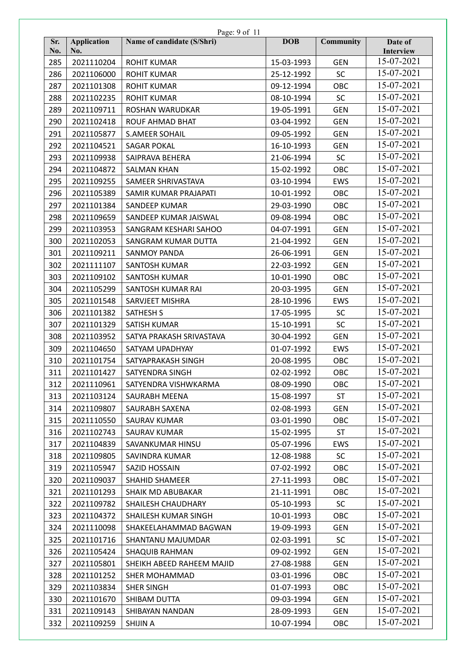|            | Page: 9 of 11             |                            |            |                  |                      |  |
|------------|---------------------------|----------------------------|------------|------------------|----------------------|--|
| Sr.<br>No. | <b>Application</b><br>No. | Name of candidate (S/Shri) | <b>DOB</b> | <b>Community</b> | Date of<br>Interview |  |
| 285        | 2021110204                | <b>ROHIT KUMAR</b>         | 15-03-1993 | <b>GEN</b>       | 15-07-2021           |  |
| 286        | 2021106000                | <b>ROHIT KUMAR</b>         | 25-12-1992 | <b>SC</b>        | 15-07-2021           |  |
| 287        | 2021101308                | <b>ROHIT KUMAR</b>         | 09-12-1994 | OBC              | 15-07-2021           |  |
| 288        | 2021102235                | <b>ROHIT KUMAR</b>         | 08-10-1994 | <b>SC</b>        | 15-07-2021           |  |
| 289        | 2021109711                | ROSHAN WARUDKAR            | 19-05-1991 | <b>GEN</b>       | 15-07-2021           |  |
| 290        | 2021102418                | <b>ROUF AHMAD BHAT</b>     | 03-04-1992 | <b>GEN</b>       | 15-07-2021           |  |
| 291        | 2021105877                | <b>S.AMEER SOHAIL</b>      | 09-05-1992 | <b>GEN</b>       | 15-07-2021           |  |
| 292        | 2021104521                | <b>SAGAR POKAL</b>         | 16-10-1993 | <b>GEN</b>       | 15-07-2021           |  |
| 293        | 2021109938                | SAIPRAVA BEHERA            | 21-06-1994 | <b>SC</b>        | 15-07-2021           |  |
| 294        | 2021104872                | <b>SALMAN KHAN</b>         | 15-02-1992 | OBC              | 15-07-2021           |  |
| 295        | 2021109255                | SAMEER SHRIVASTAVA         | 03-10-1994 | <b>EWS</b>       | 15-07-2021           |  |
| 296        | 2021105389                | SAMIR KUMAR PRAJAPATI      | 10-01-1992 | OBC              | 15-07-2021           |  |
| 297        | 2021101384                | SANDEEP KUMAR              | 29-03-1990 | OBC              | 15-07-2021           |  |
| 298        | 2021109659                | SANDEEP KUMAR JAISWAL      | 09-08-1994 | OBC              | 15-07-2021           |  |
| 299        | 2021103953                | SANGRAM KESHARI SAHOO      | 04-07-1991 | <b>GEN</b>       | 15-07-2021           |  |
| 300        | 2021102053                | SANGRAM KUMAR DUTTA        | 21-04-1992 | <b>GEN</b>       | 15-07-2021           |  |
| 301        | 2021109211                | <b>SANMOY PANDA</b>        | 26-06-1991 | <b>GEN</b>       | 15-07-2021           |  |
| 302        | 2021111107                | <b>SANTOSH KUMAR</b>       | 22-03-1992 | <b>GEN</b>       | 15-07-2021           |  |
| 303        | 2021109102                | <b>SANTOSH KUMAR</b>       | 10-01-1990 | OBC              | 15-07-2021           |  |
| 304        | 2021105299                | SANTOSH KUMAR RAI          | 20-03-1995 | <b>GEN</b>       | 15-07-2021           |  |
| 305        | 2021101548                | SARVJEET MISHRA            | 28-10-1996 | <b>EWS</b>       | 15-07-2021           |  |
| 306        | 2021101382                | <b>SATHESH S</b>           | 17-05-1995 | <b>SC</b>        | 15-07-2021           |  |
| 307        | 2021101329                | SATISH KUMAR               | 15-10-1991 | SC               | 15-07-2021           |  |
| 308        | 2021103952                | SATYA PRAKASH SRIVASTAVA   | 30-04-1992 | <b>GEN</b>       | 15-07-2021           |  |
| 309        | 2021104650                | SATYAM UPADHYAY            | 01-07-1992 | <b>EWS</b>       | 15-07-2021           |  |
| 310        | 2021101754                | SATYAPRAKASH SINGH         | 20-08-1995 | OBC              | 15-07-2021           |  |
| 311        | 2021101427                | SATYENDRA SINGH            | 02-02-1992 | OBC              | 15-07-2021           |  |
| 312        | 2021110961                | SATYENDRA VISHWKARMA       | 08-09-1990 | OBC              | 15-07-2021           |  |
| 313        | 2021103124                | <b>SAURABH MEENA</b>       | 15-08-1997 | <b>ST</b>        | 15-07-2021           |  |
| 314        | 2021109807                | SAURABH SAXENA             | 02-08-1993 | <b>GEN</b>       | 15-07-2021           |  |
| 315        | 2021110550                | <b>SAURAV KUMAR</b>        | 03-01-1990 | OBC              | 15-07-2021           |  |
| 316        | 2021102743                | <b>SAURAV KUMAR</b>        | 15-02-1995 | <b>ST</b>        | 15-07-2021           |  |
| 317        | 2021104839                | SAVANKUMAR HINSU           | 05-07-1996 | <b>EWS</b>       | 15-07-2021           |  |
| 318        | 2021109805                | SAVINDRA KUMAR             | 12-08-1988 | <b>SC</b>        | 15-07-2021           |  |
| 319        | 2021105947                | SAZID HOSSAIN              | 07-02-1992 | OBC              | 15-07-2021           |  |
| 320        | 2021109037                | <b>SHAHID SHAMEER</b>      | 27-11-1993 | OBC              | 15-07-2021           |  |
| 321        | 2021101293                | SHAIK MD ABUBAKAR          | 21-11-1991 | OBC              | 15-07-2021           |  |
| 322        | 2021109782                | SHAILESH CHAUDHARY         | 05-10-1993 | <b>SC</b>        | 15-07-2021           |  |
| 323        | 2021104372                | SHAILESH KUMAR SINGH       | 10-01-1993 | OBC              | 15-07-2021           |  |
| 324        | 2021110098                | SHAKEELAHAMMAD BAGWAN      | 19-09-1993 | <b>GEN</b>       | 15-07-2021           |  |
| 325        | 2021101716                | SHANTANU MAJUMDAR          | 02-03-1991 | <b>SC</b>        | 15-07-2021           |  |
| 326        | 2021105424                | <b>SHAQUIB RAHMAN</b>      | 09-02-1992 | <b>GEN</b>       | 15-07-2021           |  |
| 327        | 2021105801                | SHEIKH ABEED RAHEEM MAJID  | 27-08-1988 | <b>GEN</b>       | 15-07-2021           |  |
| 328        | 2021101252                | SHER MOHAMMAD              | 03-01-1996 | OBC              | 15-07-2021           |  |
| 329        | 2021103834                | <b>SHER SINGH</b>          | 01-07-1993 | OBC              | 15-07-2021           |  |
| 330        | 2021101670                | SHIBAM DUTTA               | 09-03-1994 | <b>GEN</b>       | 15-07-2021           |  |
| 331        | 2021109143                | SHIBAYAN NANDAN            | 28-09-1993 | <b>GEN</b>       | 15-07-2021           |  |
| 332        | 2021109259                | <b>SHIJIN A</b>            | 10-07-1994 | OBC              | 15-07-2021           |  |
|            |                           |                            |            |                  |                      |  |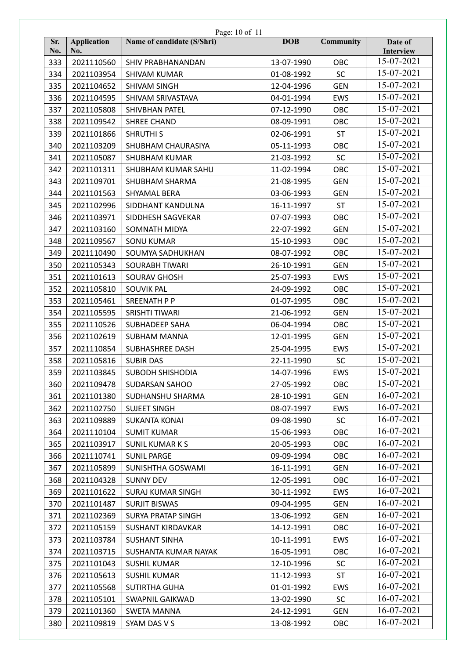|            |                           | Page: 10 of 11             |            |                  |                      |
|------------|---------------------------|----------------------------|------------|------------------|----------------------|
| Sr.<br>No. | <b>Application</b><br>No. | Name of candidate (S/Shri) | <b>DOB</b> | <b>Community</b> | Date of<br>Interview |
| 333        | 2021110560                | SHIV PRABHANANDAN          | 13-07-1990 | OBC              | 15-07-2021           |
| 334        | 2021103954                | <b>SHIVAM KUMAR</b>        | 01-08-1992 | <b>SC</b>        | 15-07-2021           |
| 335        | 2021104652                | <b>SHIVAM SINGH</b>        | 12-04-1996 | <b>GEN</b>       | 15-07-2021           |
| 336        | 2021104595                | SHIVAM SRIVASTAVA          | 04-01-1994 | <b>EWS</b>       | 15-07-2021           |
| 337        | 2021105808                | SHIVBHAN PATEL             | 07-12-1990 | OBC              | 15-07-2021           |
| 338        | 2021109542                | <b>SHREE CHAND</b>         | 08-09-1991 | OBC              | 15-07-2021           |
| 339        | 2021101866                | <b>SHRUTHI S</b>           | 02-06-1991 | <b>ST</b>        | 15-07-2021           |
| 340        | 2021103209                | SHUBHAM CHAURASIYA         | 05-11-1993 | OBC              | 15-07-2021           |
| 341        | 2021105087                | <b>SHUBHAM KUMAR</b>       | 21-03-1992 | <b>SC</b>        | 15-07-2021           |
| 342        | 2021101311                | SHUBHAM KUMAR SAHU         | 11-02-1994 | OBC              | 15-07-2021           |
| 343        | 2021109701                | SHUBHAM SHARMA             | 21-08-1995 | <b>GEN</b>       | 15-07-2021           |
| 344        | 2021101563                | SHYAMAL BERA               | 03-06-1993 | <b>GEN</b>       | 15-07-2021           |
| 345        | 2021102996                | SIDDHANT KANDULNA          | 16-11-1997 | <b>ST</b>        | 15-07-2021           |
| 346        | 2021103971                | SIDDHESH SAGVEKAR          | 07-07-1993 | OBC              | 15-07-2021           |
| 347        | 2021103160                | SOMNATH MIDYA              | 22-07-1992 | <b>GEN</b>       | 15-07-2021           |
| 348        | 2021109567                | <b>SONU KUMAR</b>          | 15-10-1993 | OBC              | 15-07-2021           |
| 349        | 2021110490                | SOUMYA SADHUKHAN           | 08-07-1992 | OBC              | 15-07-2021           |
| 350        | 2021105343                | <b>SOURABH TIWARI</b>      | 26-10-1991 | <b>GEN</b>       | 15-07-2021           |
| 351        | 2021101613                | <b>SOURAV GHOSH</b>        | 25-07-1993 | <b>EWS</b>       | 15-07-2021           |
| 352        | 2021105810                | <b>SOUVIK PAL</b>          | 24-09-1992 | OBC              | 15-07-2021           |
| 353        | 2021105461                | <b>SREENATH P P</b>        | 01-07-1995 | OBC              | 15-07-2021           |
| 354        | 2021105595                | SRISHTI TIWARI             | 21-06-1992 | <b>GEN</b>       | 15-07-2021           |
| 355        | 2021110526                | <b>SUBHADEEP SAHA</b>      | 06-04-1994 | OBC              | 15-07-2021           |
| 356        | 2021102619                | <b>SUBHAM MANNA</b>        | 12-01-1995 | <b>GEN</b>       | 15-07-2021           |
| 357        | 2021110854                | <b>SUBHASHREE DASH</b>     | 25-04-1995 | <b>EWS</b>       | 15-07-2021           |
| 358        | 2021105816                | <b>SUBIR DAS</b>           | 22-11-1990 | <b>SC</b>        | 15-07-2021           |
| 359        | 2021103845                | <b>SUBODH SHISHODIA</b>    | 14-07-1996 | EWS              | 15-07-2021           |
| 360        | 2021109478                | SUDARSAN SAHOO             | 27-05-1992 | OBC              | 15-07-2021           |
| 361        | 2021101380                | SUDHANSHU SHARMA           | 28-10-1991 | <b>GEN</b>       | 16-07-2021           |
| 362        | 2021102750                | <b>SUJEET SINGH</b>        | 08-07-1997 | <b>EWS</b>       | 16-07-2021           |
| 363        | 2021109889                | <b>SUKANTA KONAI</b>       | 09-08-1990 | <b>SC</b>        | 16-07-2021           |
| 364        | 2021110104                | <b>SUMIT KUMAR</b>         | 15-06-1993 | OBC              | 16-07-2021           |
| 365        | 2021103917                | <b>SUNIL KUMARKS</b>       | 20-05-1993 | OBC              | 16-07-2021           |
| 366        | 2021110741                | <b>SUNIL PARGE</b>         | 09-09-1994 | OBC              | 16-07-2021           |
| 367        | 2021105899                | SUNISHTHA GOSWAMI          | 16-11-1991 | <b>GEN</b>       | 16-07-2021           |
| 368        | 2021104328                | <b>SUNNY DEV</b>           | 12-05-1991 | OBC              | 16-07-2021           |
| 369        | 2021101622                | <b>SURAJ KUMAR SINGH</b>   | 30-11-1992 | <b>EWS</b>       | 16-07-2021           |
| 370        | 2021101487                | <b>SURJIT BISWAS</b>       | 09-04-1995 | <b>GEN</b>       | 16-07-2021           |
| 371        | 2021102369                | <b>SURYA PRATAP SINGH</b>  | 13-06-1992 | <b>GEN</b>       | 16-07-2021           |
| 372        | 2021105159                | <b>SUSHANT KIRDAVKAR</b>   | 14-12-1991 | OBC              | 16-07-2021           |
| 373        | 2021103784                | <b>SUSHANT SINHA</b>       | 10-11-1991 | EWS              | 16-07-2021           |
| 374        | 2021103715                | SUSHANTA KUMAR NAYAK       | 16-05-1991 | OBC              | 16-07-2021           |
| 375        | 2021101043                | <b>SUSHIL KUMAR</b>        | 12-10-1996 | <b>SC</b>        | 16-07-2021           |
| 376        | 2021105613                | <b>SUSHIL KUMAR</b>        | 11-12-1993 | <b>ST</b>        | 16-07-2021           |
| 377        | 2021105568                | <b>SUTIRTHA GUHA</b>       | 01-01-1992 | EWS              | 16-07-2021           |
|            | 2021105101                | SWAPNIL GAIKWAD            | 13-02-1990 | <b>SC</b>        | 16-07-2021           |
| 378        |                           |                            |            |                  | 16-07-2021           |
| 379        | 2021101360                | SWETA MANNA                | 24-12-1991 | <b>GEN</b>       | 16-07-2021           |
| 380        | 2021109819                | SYAM DAS V S               | 13-08-1992 | OBC              |                      |